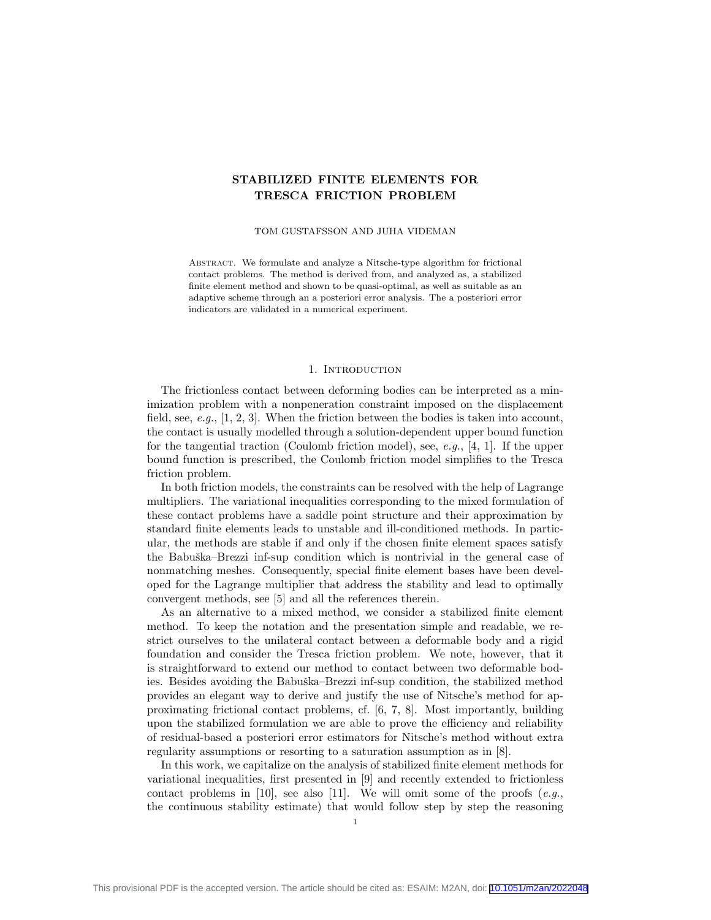# STABILIZED FINITE ELEMENTS FOR TRESCA FRICTION PROBLEM

#### TOM GUSTAFSSON AND JUHA VIDEMAN

ABSTRACT. We formulate and analyze a Nitsche-type algorithm for frictional contact problems. The method is derived from, and analyzed as, a stabilized finite element method and shown to be quasi-optimal, as well as suitable as an adaptive scheme through an a posteriori error analysis. The a posteriori error indicators are validated in a numerical experiment.

## 1. INTRODUCTION

The frictionless contact between deforming bodies can be interpreted as a minimization problem with a nonpeneration constraint imposed on the displacement field, see, e.g.,  $[1, 2, 3]$ . When the friction between the bodies is taken into account, the contact is usually modelled through a solution-dependent upper bound function for the tangential traction (Coulomb friction model), see, e.g., [4, 1]. If the upper bound function is prescribed, the Coulomb friction model simplifies to the Tresca friction problem.

In both friction models, the constraints can be resolved with the help of Lagrange multipliers. The variational inequalities corresponding to the mixed formulation of these contact problems have a saddle point structure and their approximation by standard finite elements leads to unstable and ill-conditioned methods. In particular, the methods are stable if and only if the chosen finite element spaces satisfy the Babuška–Brezzi inf-sup condition which is nontrivial in the general case of nonmatching meshes. Consequently, special finite element bases have been developed for the Lagrange multiplier that address the stability and lead to optimally convergent methods, see [5] and all the references therein.

As an alternative to a mixed method, we consider a stabilized finite element method. To keep the notation and the presentation simple and readable, we restrict ourselves to the unilateral contact between a deformable body and a rigid foundation and consider the Tresca friction problem. We note, however, that it is straightforward to extend our method to contact between two deformable bodies. Besides avoiding the Babuška–Brezzi inf-sup condition, the stabilized method provides an elegant way to derive and justify the use of Nitsche's method for approximating frictional contact problems, cf. [6, 7, 8]. Most importantly, building upon the stabilized formulation we are able to prove the efficiency and reliability of residual-based a posteriori error estimators for Nitsche's method without extra regularity assumptions or resorting to a saturation assumption as in [8].

In this work, we capitalize on the analysis of stabilized finite element methods for variational inequalities, first presented in [9] and recently extended to frictionless contact problems in [10], see also [11]. We will omit some of the proofs  $(e.g.,)$ the continuous stability estimate) that would follow step by step the reasoning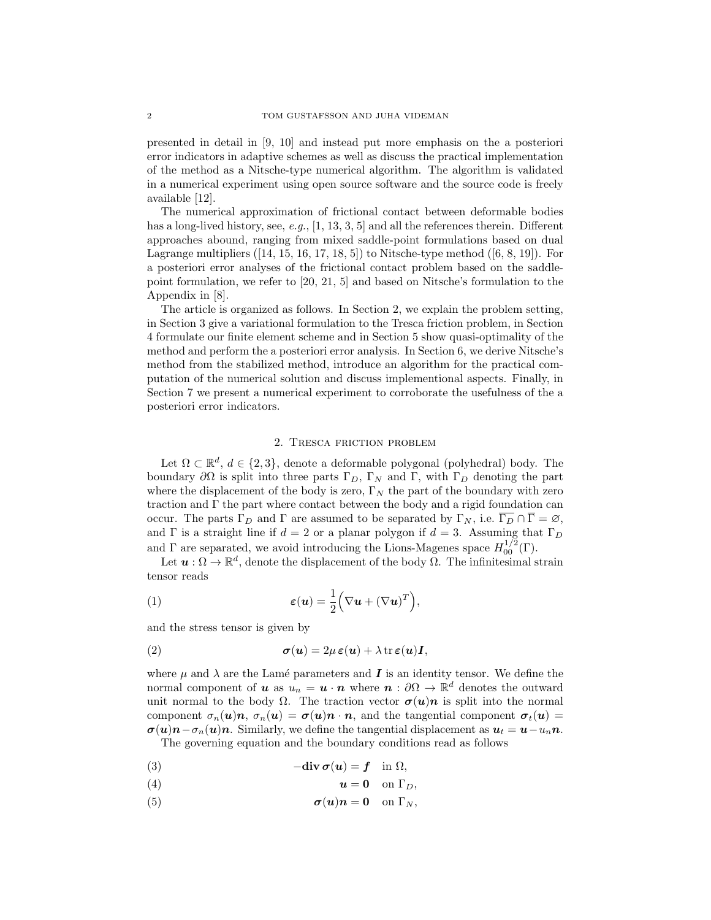presented in detail in [9, 10] and instead put more emphasis on the a posteriori error indicators in adaptive schemes as well as discuss the practical implementation of the method as a Nitsche-type numerical algorithm. The algorithm is validated in a numerical experiment using open source software and the source code is freely available [12].

The numerical approximation of frictional contact between deformable bodies has a long-lived history, see, e.g.,  $[1, 13, 3, 5]$  and all the references therein. Different approaches abound, ranging from mixed saddle-point formulations based on dual Lagrange multipliers  $([14, 15, 16, 17, 18, 5])$  to Nitsche-type method  $([6, 8, 19])$ . For a posteriori error analyses of the frictional contact problem based on the saddlepoint formulation, we refer to [20, 21, 5] and based on Nitsche's formulation to the Appendix in [8].

The article is organized as follows. In Section 2, we explain the problem setting, in Section 3 give a variational formulation to the Tresca friction problem, in Section 4 formulate our finite element scheme and in Section 5 show quasi-optimality of the method and perform the a posteriori error analysis. In Section 6, we derive Nitsche's method from the stabilized method, introduce an algorithm for the practical computation of the numerical solution and discuss implementional aspects. Finally, in Section 7 we present a numerical experiment to corroborate the usefulness of the a posteriori error indicators.

## 2. Tresca friction problem

Let  $\Omega \subset \mathbb{R}^d$ ,  $d \in \{2,3\}$ , denote a deformable polygonal (polyhedral) body. The boundary  $\partial\Omega$  is split into three parts  $\Gamma_D$ ,  $\Gamma_N$  and  $\Gamma$ , with  $\Gamma_D$  denoting the part where the displacement of the body is zero,  $\Gamma_N$  the part of the boundary with zero traction and  $\Gamma$  the part where contact between the body and a rigid foundation can occur. The parts  $\Gamma_D$  and  $\Gamma$  are assumed to be separated by  $\Gamma_N$ , i.e.  $\Gamma_D \cap \Gamma = \emptyset$ , and  $\Gamma$  is a straight line if  $d = 2$  or a planar polygon if  $d = 3$ . Assuming that  $\Gamma_D$ and  $\Gamma$  are separated, we avoid introducing the Lions-Magenes space  $H_{00}^{1/2}(\Gamma)$ .

Let  $u : \Omega \to \mathbb{R}^d$ , denote the displacement of the body  $\Omega$ . The infinitesimal strain tensor reads

(1) 
$$
\varepsilon(\boldsymbol{u}) = \frac{1}{2} \Big( \nabla \boldsymbol{u} + (\nabla \boldsymbol{u})^T \Big),
$$

and the stress tensor is given by

(2) 
$$
\boldsymbol{\sigma}(\boldsymbol{u}) = 2\mu \, \boldsymbol{\varepsilon}(\boldsymbol{u}) + \lambda \, \text{tr} \, \boldsymbol{\varepsilon}(\boldsymbol{u}) \mathbf{I},
$$

where  $\mu$  and  $\lambda$  are the Lamé parameters and **I** is an identity tensor. We define the normal component of **u** as  $u_n = \mathbf{u} \cdot \mathbf{n}$  where  $\mathbf{n} : \partial \Omega \to \mathbb{R}^d$  denotes the outward unit normal to the body  $\Omega$ . The traction vector  $\sigma(u)n$  is split into the normal component  $\sigma_n(u)n$ ,  $\sigma_n(u) = \sigma(u)n \cdot n$ , and the tangential component  $\sigma_n(u)$  $\sigma(u)n-\sigma_n(u)n$ . Similarly, we define the tangential displacement as  $u_t = u-u_n n$ . The governing equation and the boundary conditions read as follows

(3)  $-\text{div }\sigma(u) = f \text{ in } \Omega,$ 

$$
\begin{array}{ccc}\n\text{(4)} & & \text{if } \mathbf{0} & \text{if } \mathbf{0} \\
\text{(4)} & & \text{if } \mathbf{0} & \text{if } \mathbf{0} \\
\end{array}
$$

$$
u = \mathbf{0} \quad \text{on } \mathbf{1}_D,
$$

(5)  $\sigma(u)n = 0$  on  $\Gamma_N$ ,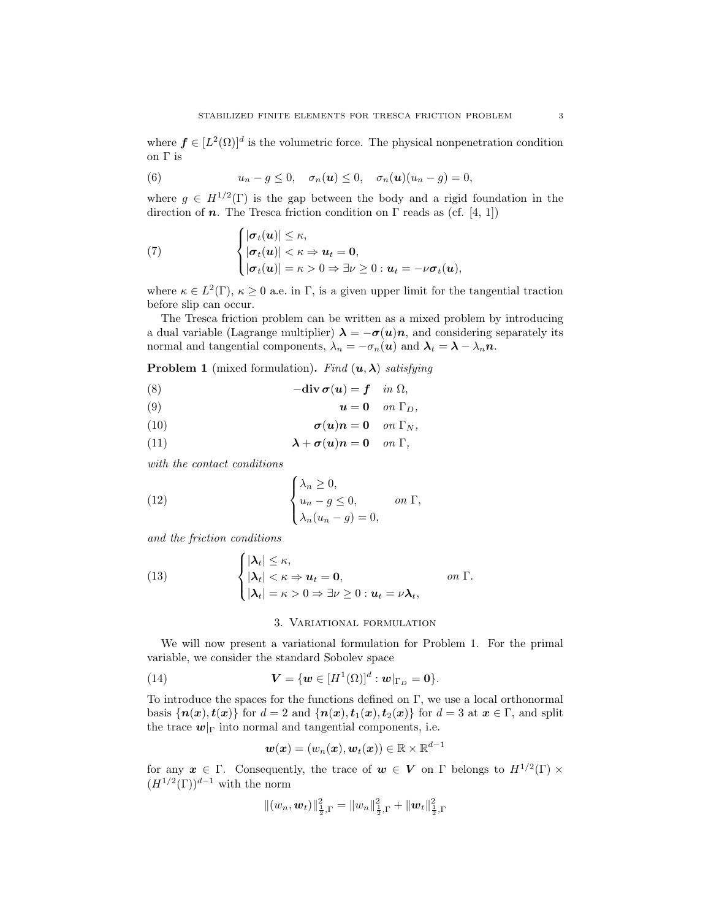where  $f \in [L^2(\Omega)]^d$  is the volumetric force. The physical nonpenetration condition on Γ is

(6) 
$$
u_n - g \leq 0, \quad \sigma_n(\mathbf{u}) \leq 0, \quad \sigma_n(\mathbf{u})(u_n - g) = 0,
$$

where  $g \in H^{1/2}(\Gamma)$  is the gap between the body and a rigid foundation in the direction of n. The Tresca friction condition on  $\Gamma$  reads as (cf. [4, 1])

(7) 
$$
\begin{cases} |\sigma_t(\mathbf{u})| \leq \kappa, \\ |\sigma_t(\mathbf{u})| < \kappa \Rightarrow \mathbf{u}_t = \mathbf{0}, \\ |\sigma_t(\mathbf{u})| = \kappa > 0 \Rightarrow \exists \nu \geq 0 : \mathbf{u}_t = -\nu \sigma_t(\mathbf{u}), \end{cases}
$$

where  $\kappa \in L^2(\Gamma)$ ,  $\kappa \geq 0$  a.e. in  $\Gamma$ , is a given upper limit for the tangential traction before slip can occur.

The Tresca friction problem can be written as a mixed problem by introducing a dual variable (Lagrange multiplier)  $\lambda = -\sigma(u)n$ , and considering separately its normal and tangential components,  $\lambda_n = -\sigma_n(\mathbf{u})$  and  $\lambda_t = \lambda - \lambda_n \mathbf{n}$ .

**Problem 1** (mixed formulation). Find  $(u, \lambda)$  satisfying

(8) 
$$
-\textbf{div}\,\boldsymbol{\sigma}(\boldsymbol{u}) = \boldsymbol{f} \quad in \ \Omega,
$$

(9) u = 0 on ΓD,

(10) 
$$
\sigma(\mathbf{u})\mathbf{n}=\mathbf{0} \quad on \; \Gamma_N,
$$

(11) 
$$
\lambda + \sigma(u)n = 0 \quad on \Gamma,
$$

with the contact conditions

(12) 
$$
\begin{cases} \lambda_n \ge 0, \\ u_n - g \le 0, \qquad on \ \Gamma, \\ \lambda_n (u_n - g) = 0, \end{cases}
$$

and the friction conditions

(13) 
$$
\begin{cases} |\lambda_t| \leq \kappa, \\ |\lambda_t| < \kappa \Rightarrow u_t = 0, \\ |\lambda_t| = \kappa > 0 \Rightarrow \exists \nu \geq 0 : u_t = \nu \lambda_t, \end{cases}
$$
 on  $\Gamma$ .

## 3. Variational formulation

We will now present a variational formulation for Problem 1. For the primal variable, we consider the standard Sobolev space

(14) 
$$
\mathbf{V} = \{\mathbf{w} \in [H^1(\Omega)]^d : \mathbf{w}|_{\Gamma_D} = \mathbf{0}\}.
$$

To introduce the spaces for the functions defined on Γ, we use a local orthonormal basis  $\{n(x), t(x)\}\$ for  $d = 2$  and  $\{n(x), t_1(x), t_2(x)\}\$ for  $d = 3$  at  $x \in \Gamma$ , and split the trace  $w|_{\Gamma}$  into normal and tangential components, i.e.

$$
\boldsymbol{w}(\boldsymbol{x})=(w_n(\boldsymbol{x}),\boldsymbol{w}_t(\boldsymbol{x}))\in\mathbb{R}\times\mathbb{R}^{d-1}
$$

for any  $x \in \Gamma$ . Consequently, the trace of  $w \in V$  on  $\Gamma$  belongs to  $H^{1/2}(\Gamma) \times$  $(H^{1/2}(\Gamma))^{d-1}$  with the norm

$$
\|(w_n, \boldsymbol{w}_t)\|_{\frac{1}{2}, \Gamma}^2 = \|w_n\|_{\frac{1}{2}, \Gamma}^2 + \|\boldsymbol{w}_t\|_{\frac{1}{2}, \Gamma}^2
$$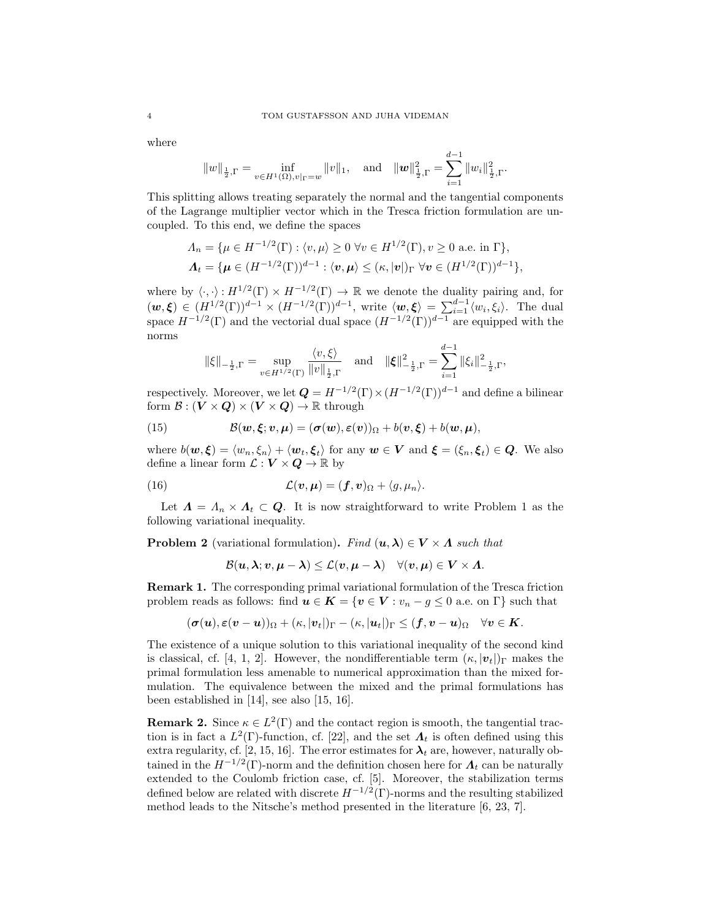where

$$
||w||_{\frac{1}{2},\Gamma} = \inf_{v \in H^1(\Omega), v|_{\Gamma} = w} ||v||_1
$$
, and  $||w||_{\frac{1}{2},\Gamma}^2 = \sum_{i=1}^{d-1} ||w_i||_{\frac{1}{2},\Gamma}^2$ .

This splitting allows treating separately the normal and the tangential components of the Lagrange multiplier vector which in the Tresca friction formulation are uncoupled. To this end, we define the spaces

$$
\Lambda_n = \{ \mu \in H^{-1/2}(\Gamma) : \langle v, \mu \rangle \ge 0 \,\,\forall v \in H^{1/2}(\Gamma), v \ge 0 \text{ a.e. in } \Gamma \},\
$$

$$
\Lambda_t = \{ \mu \in (H^{-1/2}(\Gamma))^{d-1} : \langle v, \mu \rangle \le (\kappa, |\mathbf{v}|)_{\Gamma} \,\,\forall v \in (H^{1/2}(\Gamma))^{d-1} \},
$$

where by  $\langle \cdot, \cdot \rangle : H^{1/2}(\Gamma) \times H^{-1/2}(\Gamma) \to \mathbb{R}$  we denote the duality pairing and, for  $(w,\xi) \in (H^{1/2}(\Gamma))^{d-1} \times (H^{-1/2}(\Gamma))^{d-1}$ , write  $\langle w,\xi \rangle = \sum_{i=1}^{d-1} \langle w_i,\xi_i \rangle$ . The dual space  $H^{-1/2}(\Gamma)$  and the vectorial dual space  $(H^{-1/2}(\Gamma))^{d-1}$  are equipped with the norms

$$
\|\xi\|_{-\frac{1}{2},\Gamma} = \sup_{v \in H^{1/2}(\Gamma)} \frac{\langle v,\xi \rangle}{\|v\|_{\frac{1}{2},\Gamma}} \quad \text{and} \quad \|\xi\|_{-\frac{1}{2},\Gamma}^{2} = \sum_{i=1}^{d-1} \|\xi_{i}\|_{-\frac{1}{2},\Gamma}^{2},
$$

respectively. Moreover, we let  $Q = H^{-1/2}(\Gamma) \times (H^{-1/2}(\Gamma))^{d-1}$  and define a bilinear form  $\mathcal{B}: (\mathbf{V} \times \mathbf{Q}) \times (\mathbf{V} \times \mathbf{Q}) \to \mathbb{R}$  through

(15) 
$$
\mathcal{B}(\boldsymbol{w},\boldsymbol{\xi};\boldsymbol{v},\boldsymbol{\mu})=(\boldsymbol{\sigma}(\boldsymbol{w}),\boldsymbol{\varepsilon}(\boldsymbol{v}))_{\Omega}+b(\boldsymbol{v},\boldsymbol{\xi})+b(\boldsymbol{w},\boldsymbol{\mu}),
$$

where  $b(w, \xi) = \langle w_n, \xi_n \rangle + \langle w_t, \xi_t \rangle$  for any  $w \in V$  and  $\xi = (\xi_n, \xi_t) \in Q$ . We also define a linear form  $\mathcal{L}: V \times Q \to \mathbb{R}$  by

(16) 
$$
\mathcal{L}(\mathbf{v}, \boldsymbol{\mu}) = (\boldsymbol{f}, \boldsymbol{v})_{\Omega} + \langle g, \mu_n \rangle.
$$

Let  $\Lambda = \Lambda_n \times \Lambda_t \subset Q$ . It is now straightforward to write Problem 1 as the following variational inequality.

**Problem 2** (variational formulation). Find  $(u, \lambda) \in V \times \Lambda$  such that

$$
\mathcal{B}(\boldsymbol{u},\boldsymbol{\lambda};\boldsymbol{v},\boldsymbol{\mu}-\boldsymbol{\lambda})\leq\mathcal{L}(\boldsymbol{v},\boldsymbol{\mu}-\boldsymbol{\lambda})\quad\forall(\boldsymbol{v},\boldsymbol{\mu})\in\boldsymbol{V}\times\boldsymbol{\Lambda}.
$$

Remark 1. The corresponding primal variational formulation of the Tresca friction problem reads as follows: find  $u \in K = \{v \in V : v_n - g \leq 0 \text{ a.e. on } \Gamma \}$  such that

$$
(\boldsymbol{\sigma}(\boldsymbol{u}),\boldsymbol{\varepsilon}(\boldsymbol{v}-\boldsymbol{u}))_{\Omega}+(\kappa,|\boldsymbol{v}_t|)_{\Gamma}-(\kappa,|\boldsymbol{u}_t|)_{\Gamma}\leq(\boldsymbol{f},\boldsymbol{v}-\boldsymbol{u})_{\Omega}\quad\forall\boldsymbol{v}\in\boldsymbol{K}.
$$

The existence of a unique solution to this variational inequality of the second kind is classical, cf. [4, 1, 2]. However, the nondifferentiable term  $(\kappa, |\mathbf{v}_t|)$ <sub>Γ</sub> makes the primal formulation less amenable to numerical approximation than the mixed formulation. The equivalence between the mixed and the primal formulations has been established in [14], see also [15, 16].

**Remark 2.** Since  $\kappa \in L^2(\Gamma)$  and the contact region is smooth, the tangential traction is in fact a  $L^2(\Gamma)$ -function, cf. [22], and the set  $\Lambda_t$  is often defined using this extra regularity, cf. [2, 15, 16]. The error estimates for  $\lambda_t$  are, however, naturally obtained in the  $H^{-1/2}(\Gamma)$ -norm and the definition chosen here for  $\Lambda_t$  can be naturally extended to the Coulomb friction case, cf. [5]. Moreover, the stabilization terms defined below are related with discrete  $H^{-1/2}(\Gamma)$ -norms and the resulting stabilized method leads to the Nitsche's method presented in the literature [6, 23, 7].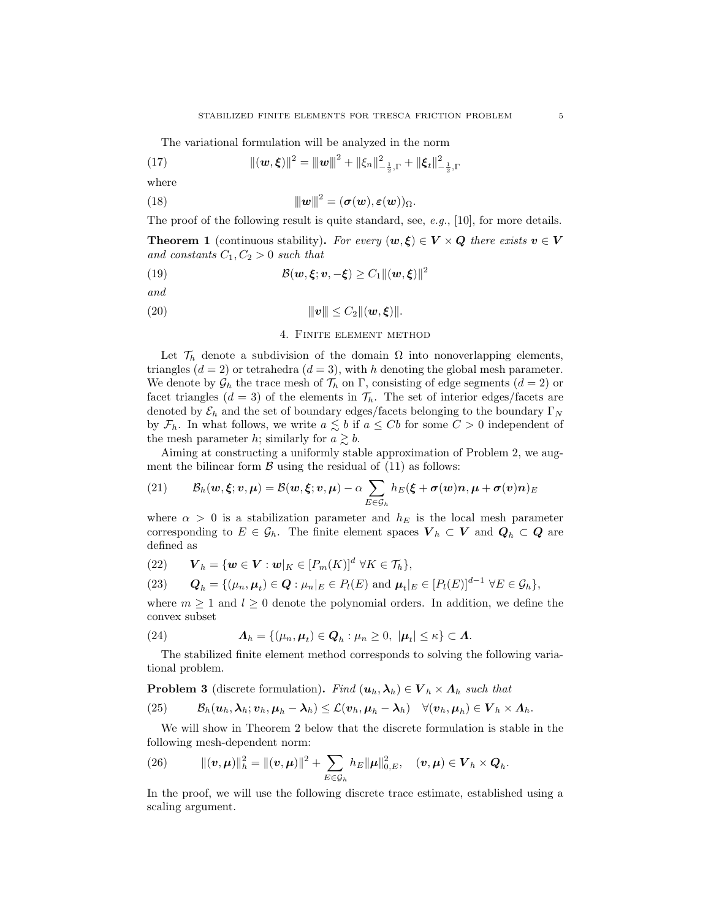The variational formulation will be analyzed in the norm

(17) 
$$
\|(\mathbf{w}, \boldsymbol{\xi})\|^2 = \|\mathbf{w}\|^2 + \|\xi_n\|_{-\frac{1}{2},\Gamma}^2 + \|\boldsymbol{\xi}_t\|_{-\frac{1}{2},\Gamma}^2
$$

where

(18) 
$$
\|w\|^2 = (\sigma(w), \varepsilon(w))_{\Omega}.
$$

The proof of the following result is quite standard, see,  $e.g., [10]$ , for more details.

**Theorem 1** (continuous stability). For every  $(w, \xi) \in V \times Q$  there exists  $v \in V$ and constants  $C_1, C_2 > 0$  such that

(19) 
$$
\mathcal{B}(\mathbf{w},\boldsymbol{\xi};\mathbf{v},-\boldsymbol{\xi}) \geq C_1 \|(\mathbf{w},\boldsymbol{\xi})\|^2
$$

and

(20) 
$$
\|v\| \leq C_2 \|(\bm{w}, \bm{\xi})\|.
$$

## 4. Finite element method

Let  $\mathcal{T}_h$  denote a subdivision of the domain  $\Omega$  into nonoverlapping elements, triangles  $(d = 2)$  or tetrahedra  $(d = 3)$ , with h denoting the global mesh parameter. We denote by  $\mathcal{G}_h$  the trace mesh of  $\mathcal{T}_h$  on  $\Gamma$ , consisting of edge segments  $(d = 2)$  or facet triangles  $(d = 3)$  of the elements in  $\mathcal{T}_h$ . The set of interior edges/facets are denoted by  $\mathcal{E}_h$  and the set of boundary edges/facets belonging to the boundary  $\Gamma_N$ by  $\mathcal{F}_h$ . In what follows, we write  $a \leq b$  if  $a \leq Cb$  for some  $C > 0$  independent of the mesh parameter h; similarly for  $a \gtrsim b$ .

Aiming at constructing a uniformly stable approximation of Problem 2, we augment the bilinear form  $\beta$  using the residual of (11) as follows:

(21) 
$$
\mathcal{B}_h(w,\xi;v,\mu)=\mathcal{B}(w,\xi;v,\mu)-\alpha\sum_{E\in\mathcal{G}_h}h_E(\xi+\sigma(w)n,\mu+\sigma(v)n)_E
$$

where  $\alpha > 0$  is a stabilization parameter and  $h_E$  is the local mesh parameter corresponding to  $E \in \mathcal{G}_h$ . The finite element spaces  $V_h \subset V$  and  $Q_h \subset Q$  are defined as

(22) 
$$
\mathbf{V}_h = \{\mathbf{w} \in \mathbf{V} : \mathbf{w}|_K \in [P_m(K)]^d \ \forall K \in \mathcal{T}_h\},
$$

(23) 
$$
\mathbf{Q}_h = \{(\mu_n, \mu_t) \in \mathbf{Q} : \mu_n|_E \in P_l(E) \text{ and } \mu_t|_E \in [P_l(E)]^{d-1} \ \forall E \in \mathcal{G}_h\},
$$

where  $m \geq 1$  and  $l \geq 0$  denote the polynomial orders. In addition, we define the convex subset

(24) 
$$
\Lambda_h = \{(\mu_n, \mu_t) \in Q_h : \mu_n \geq 0, \ |\mu_t| \leq \kappa\} \subset \Lambda.
$$

The stabilized finite element method corresponds to solving the following variational problem.

**Problem 3** (discrete formulation). Find  $(\mathbf{u}_h, \lambda_h) \in \mathbf{V}_h \times \Lambda_h$  such that

(25) 
$$
\mathcal{B}_h(\boldsymbol{u}_h,\boldsymbol{\lambda}_h;\boldsymbol{v}_h,\boldsymbol{\mu}_h-\boldsymbol{\lambda}_h)\leq\mathcal{L}(\boldsymbol{v}_h,\boldsymbol{\mu}_h-\boldsymbol{\lambda}_h)\quad\forall(\boldsymbol{v}_h,\boldsymbol{\mu}_h)\in\boldsymbol{V}_h\times\boldsymbol{\Lambda}_h.
$$

We will show in Theorem 2 below that the discrete formulation is stable in the following mesh-dependent norm:

(26) 
$$
\|(v,\mu)\|_{h}^{2} = \|(v,\mu)\|^{2} + \sum_{E \in \mathcal{G}_{h}} h_{E} \|\mu\|_{0,E}^{2}, \quad (v,\mu) \in \mathbf{V}_{h} \times \mathbf{Q}_{h}.
$$

In the proof, we will use the following discrete trace estimate, established using a scaling argument.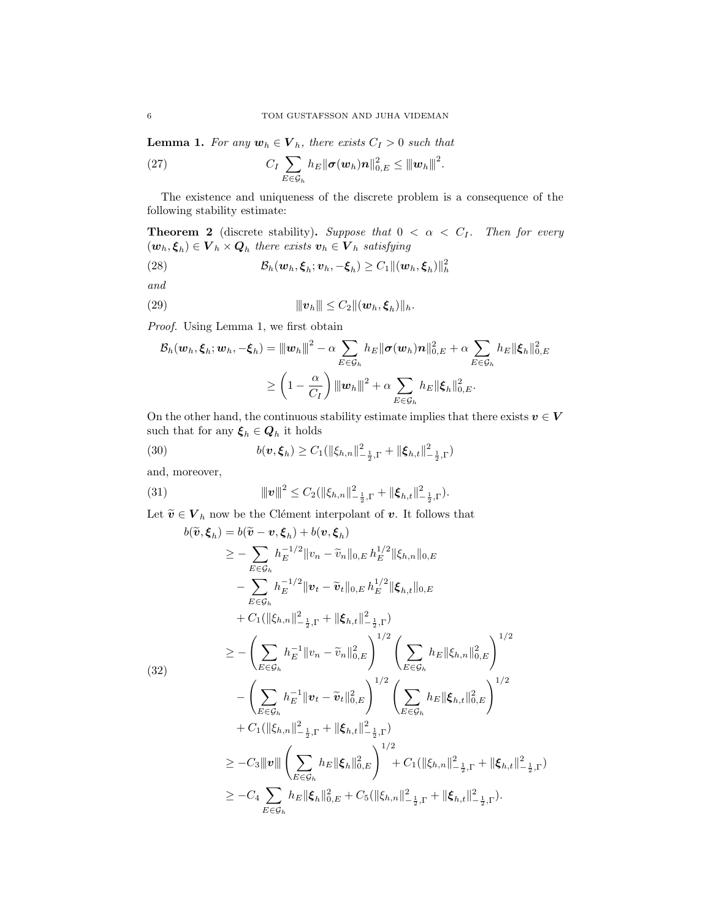**Lemma 1.** For any  $w_h \in V_h$ , there exists  $C_I > 0$  such that

(27) 
$$
C_I \sum_{E \in \mathcal{G}_h} h_E ||\boldsymbol{\sigma}(\boldsymbol{w}_h) \boldsymbol{n}||_{0,E}^2 \leq ||\boldsymbol{w}_h||^2.
$$

The existence and uniqueness of the discrete problem is a consequence of the following stability estimate:

**Theorem 2** (discrete stability). Suppose that  $0 < \alpha < C_I$ . Then for every  $(\boldsymbol{w}_h, \boldsymbol{\xi}_h) \in \boldsymbol{V}_h \times \boldsymbol{Q}_h$  there exists  $\boldsymbol{v}_h \in \boldsymbol{V}_h$  satisfying

(28) 
$$
\mathcal{B}_h(\boldsymbol{w}_h,\boldsymbol{\xi}_h;\boldsymbol{v}_h,-\boldsymbol{\xi}_h) \geq C_1 \|(\boldsymbol{w}_h,\boldsymbol{\xi}_h)\|_h^2
$$

and

(29) 
$$
\|v_h\| \leq C_2 \|(\boldsymbol{w}_h, \boldsymbol{\xi}_h)\|_h.
$$

Proof. Using Lemma 1, we first obtain

$$
\mathcal{B}_h(\boldsymbol{w}_h,\boldsymbol{\xi}_h;\boldsymbol{w}_h,-\boldsymbol{\xi}_h)=\|\boldsymbol{w}_h\|^2-\alpha\sum_{E\in\mathcal{G}_h}h_E\|\boldsymbol{\sigma}(\boldsymbol{w}_h)\boldsymbol{n}\|_{0,E}^2+\alpha\sum_{E\in\mathcal{G}_h}h_E\|\boldsymbol{\xi}_h\|_{0,E}^2\\ \geq\left(1-\frac{\alpha}{C_I}\right)\|\boldsymbol{w}_h\|^2+\alpha\sum_{E\in\mathcal{G}_h}h_E\|\boldsymbol{\xi}_h\|_{0,E}^2.
$$

On the other hand, the continuous stability estimate implies that there exists  $\boldsymbol{v} \in \boldsymbol{V}$ such that for any  $\xi_h \in \mathcal{Q}_h$  it holds

(30) 
$$
b(\mathbf{v}, \boldsymbol{\xi}_h) \geq C_1(||\xi_{h,n}||_{-\frac{1}{2},\Gamma}^2 + ||\boldsymbol{\xi}_{h,t}||_{-\frac{1}{2},\Gamma}^2)
$$

and, moreover,

(31) 
$$
\|v\|^2 \leq C_2(\|\xi_{h,n}\|_{-\frac{1}{2},\Gamma}^2 + \|\xi_{h,t}\|_{-\frac{1}{2},\Gamma}^2).
$$

Let  $\widetilde{\boldsymbol{v}}\in \boldsymbol{V}_h$  now be the Clément interpolant of  $\boldsymbol{v}.$  It follows that

$$
b(\tilde{v}, \xi_{h}) = b(\tilde{v} - v, \xi_{h}) + b(v, \xi_{h})
$$
  
\n
$$
\geq - \sum_{E \in \mathcal{G}_{h}} h_{E}^{-1/2} \|v_{n} - \tilde{v}_{n}\|_{0,E} h_{E}^{1/2} \|\xi_{h,n}\|_{0,E}
$$
  
\n
$$
- \sum_{E \in \mathcal{G}_{h}} h_{E}^{-1/2} \|v_{t} - \tilde{v}_{t}\|_{0,E} h_{E}^{1/2} \|\xi_{h,t}\|_{0,E}
$$
  
\n
$$
+ C_{1}(\|\xi_{h,n}\|_{-\frac{1}{2},\Gamma}^{2} + \|\xi_{h,t}\|_{-\frac{1}{2},\Gamma}^{2})
$$
  
\n
$$
\geq - \left(\sum_{E \in \mathcal{G}_{h}} h_{E}^{-1} \|v_{n} - \tilde{v}_{n}\|_{0,E}^{2}\right)^{1/2} \left(\sum_{E \in \mathcal{G}_{h}} h_{E} \|\xi_{h,n}\|_{0,E}^{2}\right)^{1/2}
$$
  
\n(32)  
\n
$$
- \left(\sum_{E \in \mathcal{G}_{h}} h_{E}^{-1} \|v_{t} - \tilde{v}_{t}\|_{0,E}^{2}\right)^{1/2} \left(\sum_{E \in \mathcal{G}_{h}} h_{E} \|\xi_{h,t}\|_{0,E}^{2}\right)^{1/2}
$$
  
\n
$$
+ C_{1}(\|\xi_{h,n}\|_{-\frac{1}{2},\Gamma}^{2} + \|\xi_{h,t}\|_{-\frac{1}{2},\Gamma}^{2})
$$
  
\n
$$
\geq -C_{3} \|v\| \left(\sum_{E \in \mathcal{G}_{h}} h_{E} \|\xi_{h}\|_{0,E}^{2}\right)^{1/2} + C_{1}(\|\xi_{h,n}\|_{-\frac{1}{2},\Gamma}^{2} + \|\xi_{h,t}\|_{-\frac{1}{2},\Gamma}^{2}).
$$
  
\n
$$
\geq -C_{4} \sum_{E \in \mathcal{G}_{h}} h_{E} \|\xi_{h}\|_{0,E}^{2} + C_{5}(\|\xi_{h,n}\|_{-\frac{1}{2},\Gamma}^{2} + \|\xi_{h,t}\|_{-\frac{1}{2},\Gamma}^{2}).
$$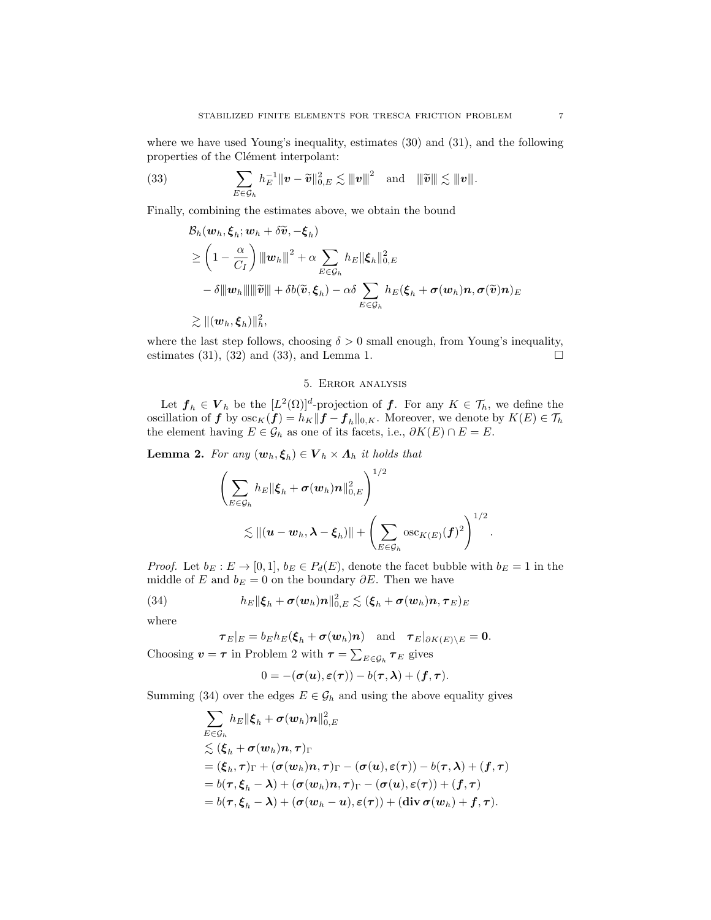where we have used Young's inequality, estimates (30) and (31), and the following properties of the Clément interpolant:

(33) 
$$
\sum_{E \in \mathcal{G}_h} h_E^{-1} \|\boldsymbol{v} - \widetilde{\boldsymbol{v}}\|_{0,E}^2 \lesssim \|\boldsymbol{v}\|^2 \text{ and } \|\widetilde{\boldsymbol{v}}\| \lesssim \|\boldsymbol{v}\|.
$$

Finally, combining the estimates above, we obtain the bound

$$
\mathcal{B}_h(\boldsymbol{w}_h, \boldsymbol{\xi}_h; \boldsymbol{w}_h + \delta \widetilde{\boldsymbol{v}}, -\boldsymbol{\xi}_h) \n\geq \left(1 - \frac{\alpha}{C_I}\right) \|\boldsymbol{w}_h\|^2 + \alpha \sum_{E \in \mathcal{G}_h} h_E \|\boldsymbol{\xi}_h\|_{0,E}^2 \n- \delta \|\boldsymbol{w}_h\| \|\widetilde{\boldsymbol{v}}\| + \delta b(\widetilde{\boldsymbol{v}}, \boldsymbol{\xi}_h) - \alpha \delta \sum_{E \in \mathcal{G}_h} h_E(\boldsymbol{\xi}_h + \boldsymbol{\sigma}(\boldsymbol{w}_h) \boldsymbol{n}, \boldsymbol{\sigma}(\widetilde{\boldsymbol{v}}) \boldsymbol{n})_E \n\geq \|(\boldsymbol{w}_h, \boldsymbol{\xi}_h)\|_h^2,
$$

where the last step follows, choosing  $\delta > 0$  small enough, from Young's inequality, estimates (31), (32) and (33), and Lemma 1.  $\Box$ 

# 5. Error analysis

Let  $\mathbf{f}_h \in \mathbf{V}_h$  be the  $[L^2(\Omega)]^d$ -projection of  $\mathbf{f}$ . For any  $K \in \mathcal{T}_h$ , we define the oscillation of  $f$  by  $\csc_K(f) = h_K ||f - f_h||_{0,K}$ . Moreover, we denote by  $K(E) \in \mathcal{T}_h$ the element having  $E \in \mathcal{G}_h$  as one of its facets, i.e.,  $\partial K(E) \cap E = E$ .

**Lemma 2.** For any  $(\mathbf{w}_h, \boldsymbol{\xi}_h) \in \boldsymbol{V}_h \times \boldsymbol{\Lambda}_h$  it holds that

$$
\left(\sum_{E\in\mathcal{G}_h} h_E \|\boldsymbol{\xi}_h + \boldsymbol{\sigma}(\boldsymbol{w}_h)\boldsymbol{n}\|_{0,E}^2\right)^{1/2} \lesssim \|(\boldsymbol{u}-\boldsymbol{w}_h,\boldsymbol{\lambda}-\boldsymbol{\xi}_h)\| + \left(\sum_{E\in\mathcal{G}_h} \mathrm{osc}_{K(E)}(\boldsymbol{f})^2\right)^{1/2}.
$$

*Proof.* Let  $b_E : E \to [0, 1], b_E \in P_d(E)$ , denote the facet bubble with  $b_E = 1$  in the middle of E and  $b_E = 0$  on the boundary  $\partial E$ . Then we have

(34) 
$$
h_E \|\boldsymbol{\xi}_h + \boldsymbol{\sigma}(\boldsymbol{w}_h)\boldsymbol{n}\|_{0,E}^2 \lesssim (\boldsymbol{\xi}_h + \boldsymbol{\sigma}(\boldsymbol{w}_h)\boldsymbol{n}, \boldsymbol{\tau}_E)_E
$$

where

$$
\boldsymbol{\tau}_E|_E=b_Eh_E(\boldsymbol{\xi}_h+\boldsymbol{\sigma}(\boldsymbol{w}_h)\boldsymbol{n})\quad\text{and}\quad\boldsymbol{\tau}_E|_{\partial K(E)\setminus E}=0.
$$

Choosing  $\mathbf{v} = \boldsymbol{\tau}$  in Problem 2 with  $\boldsymbol{\tau} = \sum_{E \in \mathcal{G}_h} \boldsymbol{\tau}_E$  gives

$$
0 = -(\boldsymbol{\sigma}(\boldsymbol{u}), \boldsymbol{\varepsilon}(\boldsymbol{\tau})) - b(\boldsymbol{\tau}, \boldsymbol{\lambda}) + (\boldsymbol{f}, \boldsymbol{\tau}).
$$

Summing (34) over the edges  $E \in \mathcal{G}_h$  and using the above equality gives

$$
\begin{aligned} &\sum_{E\in\mathcal{G}_h}h_E\|\boldsymbol{\xi}_h+\boldsymbol{\sigma}(\boldsymbol{w}_h)\boldsymbol{n}\|_{0,E}^2\\ &\lesssim (\boldsymbol{\xi}_h+\boldsymbol{\sigma}(\boldsymbol{w}_h)\boldsymbol{n},\boldsymbol{\tau})_\Gamma\\ &=(\boldsymbol{\xi}_h,\boldsymbol{\tau})_\Gamma+(\boldsymbol{\sigma}(\boldsymbol{w}_h)\boldsymbol{n},\boldsymbol{\tau})_\Gamma-(\boldsymbol{\sigma}(\boldsymbol{u}),\boldsymbol{\varepsilon}(\boldsymbol{\tau}))-b(\boldsymbol{\tau},\boldsymbol{\lambda})+(f,\boldsymbol{\tau})\\ &=b(\boldsymbol{\tau},\boldsymbol{\xi}_h-\boldsymbol{\lambda})+(\boldsymbol{\sigma}(\boldsymbol{w}_h)\boldsymbol{n},\boldsymbol{\tau})_\Gamma-(\boldsymbol{\sigma}(\boldsymbol{u}),\boldsymbol{\varepsilon}(\boldsymbol{\tau}))+(f,\boldsymbol{\tau})\\ &=b(\boldsymbol{\tau},\boldsymbol{\xi}_h-\boldsymbol{\lambda})+(\boldsymbol{\sigma}(\boldsymbol{w}_h-\boldsymbol{u}),\boldsymbol{\varepsilon}(\boldsymbol{\tau}))+(\mathrm{div}\,\boldsymbol{\sigma}(\boldsymbol{w}_h)+f,\boldsymbol{\tau}). \end{aligned}
$$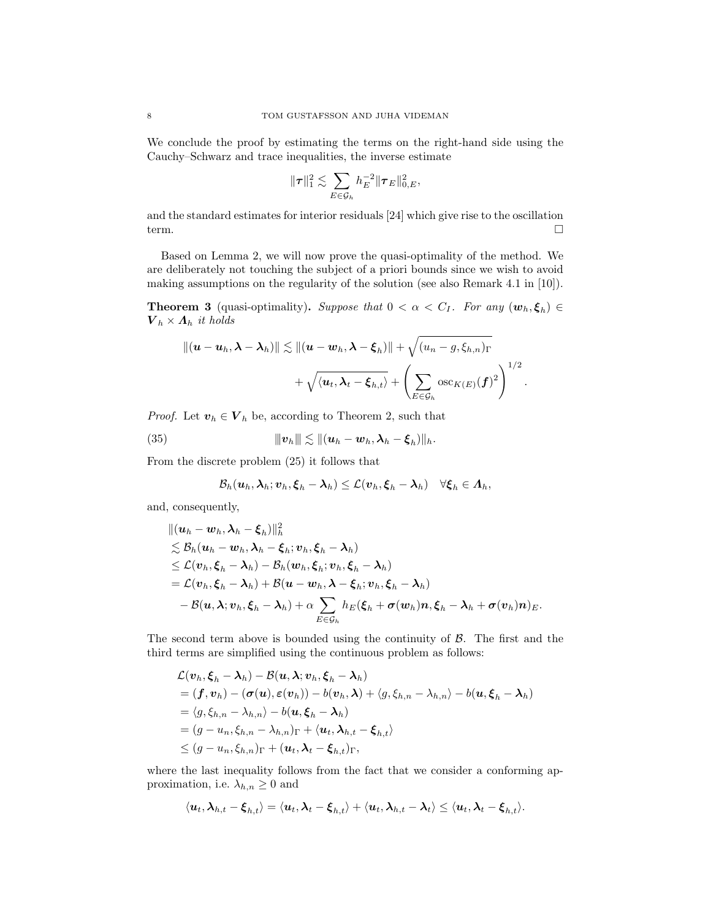We conclude the proof by estimating the terms on the right-hand side using the Cauchy–Schwarz and trace inequalities, the inverse estimate

$$
\|\boldsymbol\tau\|_1^2\lesssim \sum_{E\in\mathcal{G}_h} h_E^{-2}\|\boldsymbol\tau_E\|_{0,E}^2,
$$

and the standard estimates for interior residuals [24] which give rise to the oscillation term.

Based on Lemma 2, we will now prove the quasi-optimality of the method. We are deliberately not touching the subject of a priori bounds since we wish to avoid making assumptions on the regularity of the solution (see also Remark 4.1 in [10]).

**Theorem 3** (quasi-optimality). Suppose that  $0 < \alpha < C_I$ . For any  $(\mathbf{w}_h, \xi_h) \in$  $V_h \times A_h$  it holds

$$
\begin{aligned} \|(\boldsymbol u-\boldsymbol u_h,\boldsymbol \lambda-\boldsymbol \lambda_h)\| \lesssim \|(\boldsymbol u-\boldsymbol w_h,\boldsymbol \lambda-\boldsymbol \xi_h)\|+\sqrt{(u_n-g,\xi_{h,n})_\Gamma}\\ &\quad + \sqrt{\langle \boldsymbol u_t,\boldsymbol \lambda_t-\boldsymbol \xi_{h,t}\rangle}+\left(\sum_{E\in \mathcal G_h} \mathrm{osc}_{K(E)}(\boldsymbol f)^2\right)^{1/2}.\end{aligned}
$$

*Proof.* Let  $\mathbf{v}_h \in \mathbf{V}_h$  be, according to Theorem 2, such that

(35) 
$$
\|v_h\| \lesssim \|(u_h - w_h, \lambda_h - \xi_h)\|_h.
$$

From the discrete problem (25) it follows that

$$
\mathcal{B}_h(\boldsymbol{u}_h,\boldsymbol{\lambda}_h;\boldsymbol{v}_h,\boldsymbol{\xi}_h-\boldsymbol{\lambda}_h)\leq\mathcal{L}(\boldsymbol{v}_h,\boldsymbol{\xi}_h-\boldsymbol{\lambda}_h)\quad\forall\boldsymbol{\xi}_h\in\boldsymbol{\Lambda}_h,
$$

and, consequently,

$$
\begin{aligned} &\|( \boldsymbol{u}_h - \boldsymbol{w}_h, \boldsymbol{\lambda}_h - \boldsymbol{\xi}_h) \|^2_h \\ &\lesssim \mathcal{B}_h ( \boldsymbol{u}_h - \boldsymbol{w}_h, \boldsymbol{\lambda}_h - \boldsymbol{\xi}_h; \boldsymbol{v}_h, \boldsymbol{\xi}_h - \boldsymbol{\lambda}_h) \\ &\leq \mathcal{L}(\boldsymbol{v}_h, \boldsymbol{\xi}_h - \boldsymbol{\lambda}_h) - \mathcal{B}_h ( \boldsymbol{w}_h, \boldsymbol{\xi}_h; \boldsymbol{v}_h, \boldsymbol{\xi}_h - \boldsymbol{\lambda}_h) \\ &= \mathcal{L}(\boldsymbol{v}_h, \boldsymbol{\xi}_h - \boldsymbol{\lambda}_h) + \mathcal{B} (\boldsymbol{u} - \boldsymbol{w}_h, \boldsymbol{\lambda} - \boldsymbol{\xi}_h; \boldsymbol{v}_h, \boldsymbol{\xi}_h - \boldsymbol{\lambda}_h) \\ &- \mathcal{B} (\boldsymbol{u}, \boldsymbol{\lambda}; \boldsymbol{v}_h, \boldsymbol{\xi}_h - \boldsymbol{\lambda}_h) + \alpha \sum_{E \in \mathcal{G}_h} h_E ( \boldsymbol{\xi}_h + \boldsymbol{\sigma}(\boldsymbol{w}_h) \boldsymbol{n}, \boldsymbol{\xi}_h - \boldsymbol{\lambda}_h + \boldsymbol{\sigma}(\boldsymbol{v}_h) \boldsymbol{n} )_E . \end{aligned}
$$

The second term above is bounded using the continuity of  $\beta$ . The first and the third terms are simplified using the continuous problem as follows:

$$
\mathcal{L}(\boldsymbol{v}_h,\boldsymbol{\xi}_h-\boldsymbol{\lambda}_h)-\mathcal{B}(\boldsymbol{u},\boldsymbol{\lambda};\boldsymbol{v}_h,\boldsymbol{\xi}_h-\boldsymbol{\lambda}_h)\\ =(\boldsymbol{f},\boldsymbol{v}_h)-(\boldsymbol{\sigma}(\boldsymbol{u}),\boldsymbol{\varepsilon}(\boldsymbol{v}_h))-b(\boldsymbol{v}_h,\boldsymbol{\lambda})+\langle g,\xi_{h,n}-\lambda_{h,n}\rangle-b(\boldsymbol{u},\boldsymbol{\xi}_h-\boldsymbol{\lambda}_h)\\ =\langle g,\xi_{h,n}-\lambda_{h,n}\rangle-b(\boldsymbol{u},\boldsymbol{\xi}_h-\boldsymbol{\lambda}_h)\\ =(\boldsymbol{g}-u_n,\xi_{h,n}-\lambda_{h,n})_\Gamma+\langle \boldsymbol{u}_t,\boldsymbol{\lambda}_{h,t}-\boldsymbol{\xi}_{h,t}\rangle\\ \leq(\boldsymbol{g}-u_n,\xi_{h,n})_\Gamma+(\boldsymbol{u}_t,\boldsymbol{\lambda}_t-\boldsymbol{\xi}_{h,t})_\Gamma,
$$

where the last inequality follows from the fact that we consider a conforming approximation, i.e.  $\lambda_{h,n} \geq 0$  and

$$
\langle \boldsymbol{u}_t, \boldsymbol{\lambda}_{h,t} - \boldsymbol{\xi}_{h,t} \rangle = \langle \boldsymbol{u}_t, \boldsymbol{\lambda}_t - \boldsymbol{\xi}_{h,t} \rangle + \langle \boldsymbol{u}_t, \boldsymbol{\lambda}_{h,t} - \boldsymbol{\lambda}_t \rangle \leq \langle \boldsymbol{u}_t, \boldsymbol{\lambda}_t - \boldsymbol{\xi}_{h,t} \rangle.
$$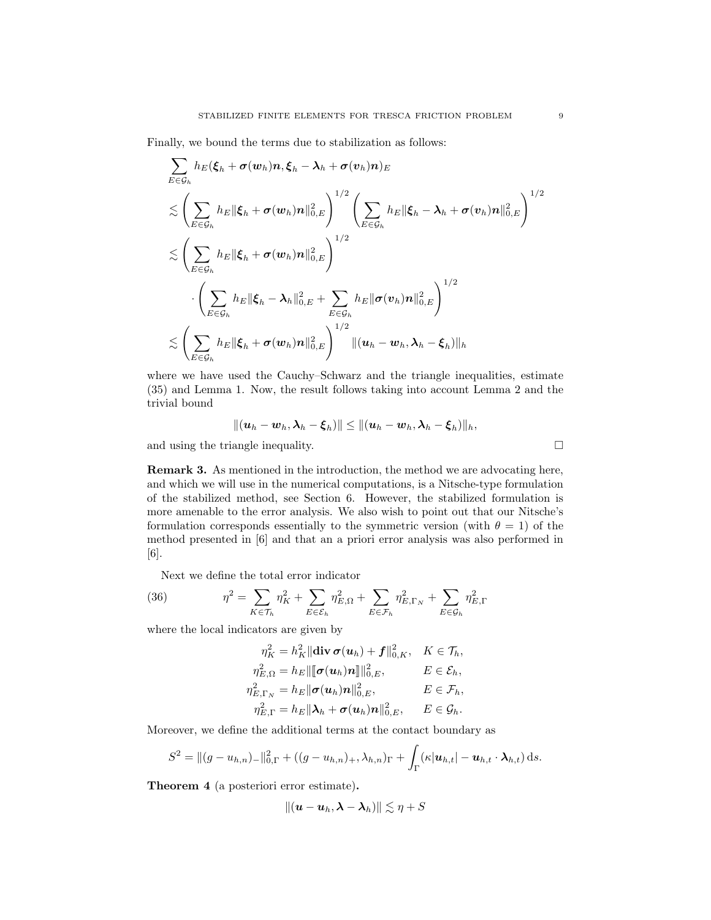Finally, we bound the terms due to stabilization as follows:

$$
\sum_{E \in \mathcal{G}_h} h_E(\xi_h + \sigma(w_h)n, \xi_h - \lambda_h + \sigma(v_h)n)_E
$$
\n
$$
\lesssim \left(\sum_{E \in \mathcal{G}_h} h_E \|\xi_h + \sigma(w_h)n\|_{0,E}^2\right)^{1/2} \left(\sum_{E \in \mathcal{G}_h} h_E \|\xi_h - \lambda_h + \sigma(v_h)n\|_{0,E}^2\right)^{1/2}
$$
\n
$$
\lesssim \left(\sum_{E \in \mathcal{G}_h} h_E \|\xi_h + \sigma(w_h)n\|_{0,E}^2\right)^{1/2}
$$
\n
$$
\cdot \left(\sum_{E \in \mathcal{G}_h} h_E \|\xi_h - \lambda_h\|_{0,E}^2 + \sum_{E \in \mathcal{G}_h} h_E \|\sigma(v_h)n\|_{0,E}^2\right)^{1/2}
$$
\n
$$
\lesssim \left(\sum_{E \in \mathcal{G}_h} h_E \|\xi_h + \sigma(w_h)n\|_{0,E}^2\right)^{1/2} \|(u_h - w_h, \lambda_h - \xi_h)\|_h
$$

where we have used the Cauchy–Schwarz and the triangle inequalities, estimate (35) and Lemma 1. Now, the result follows taking into account Lemma 2 and the trivial bound

$$
\|(\boldsymbol{u}_h-\boldsymbol{w}_h,\boldsymbol{\lambda}_h-\boldsymbol{\xi}_h)\|\leq \|(\boldsymbol{u}_h-\boldsymbol{w}_h,\boldsymbol{\lambda}_h-\boldsymbol{\xi}_h)\|_h,
$$

and using the triangle inequality.

Remark 3. As mentioned in the introduction, the method we are advocating here, and which we will use in the numerical computations, is a Nitsche-type formulation of the stabilized method, see Section 6. However, the stabilized formulation is more amenable to the error analysis. We also wish to point out that our Nitsche's formulation corresponds essentially to the symmetric version (with  $\theta = 1$ ) of the method presented in [6] and that an a priori error analysis was also performed in [6].

Next we define the total error indicator

(36) 
$$
\eta^{2} = \sum_{K \in \mathcal{T}_{h}} \eta_{K}^{2} + \sum_{E \in \mathcal{E}_{h}} \eta_{E,\Omega}^{2} + \sum_{E \in \mathcal{F}_{h}} \eta_{E,\Gamma_{N}}^{2} + \sum_{E \in \mathcal{G}_{h}} \eta_{E,\Gamma}^{2}
$$

where the local indicators are given by

$$
\eta_K^2 = h_K^2 \|\mathbf{div} \, \boldsymbol{\sigma}(\boldsymbol{u}_h) + \boldsymbol{f}\|_{0,K}^2, \quad K \in \mathcal{T}_h,
$$
  
\n
$$
\eta_{E,\Omega}^2 = h_E \|\[\boldsymbol{\sigma}(\boldsymbol{u}_h)\boldsymbol{n}\]\|_{0,E}^2, \qquad E \in \mathcal{E}_h,
$$
  
\n
$$
\eta_{E,\Gamma_N}^2 = h_E \|\boldsymbol{\sigma}(\boldsymbol{u}_h)\boldsymbol{n}\|_{0,E}^2, \qquad E \in \mathcal{F}_h,
$$
  
\n
$$
\eta_{E,\Gamma}^2 = h_E \|\boldsymbol{\lambda}_h + \boldsymbol{\sigma}(\boldsymbol{u}_h)\boldsymbol{n}\|_{0,E}^2, \qquad E \in \mathcal{G}_h.
$$

Moreover, we define the additional terms at the contact boundary as

$$
S^{2} = ||(g - u_{h,n})_{-}||_{0,\Gamma}^{2} + ((g - u_{h,n})_{+}, \lambda_{h,n})_{\Gamma} + \int_{\Gamma} (\kappa |u_{h,t}| - u_{h,t} \cdot \lambda_{h,t}) ds.
$$

Theorem 4 (a posteriori error estimate).

$$
\|(\boldsymbol{u}-\boldsymbol{u}_h,\boldsymbol{\lambda}-\boldsymbol{\lambda}_h)\|\lesssim \eta+S
$$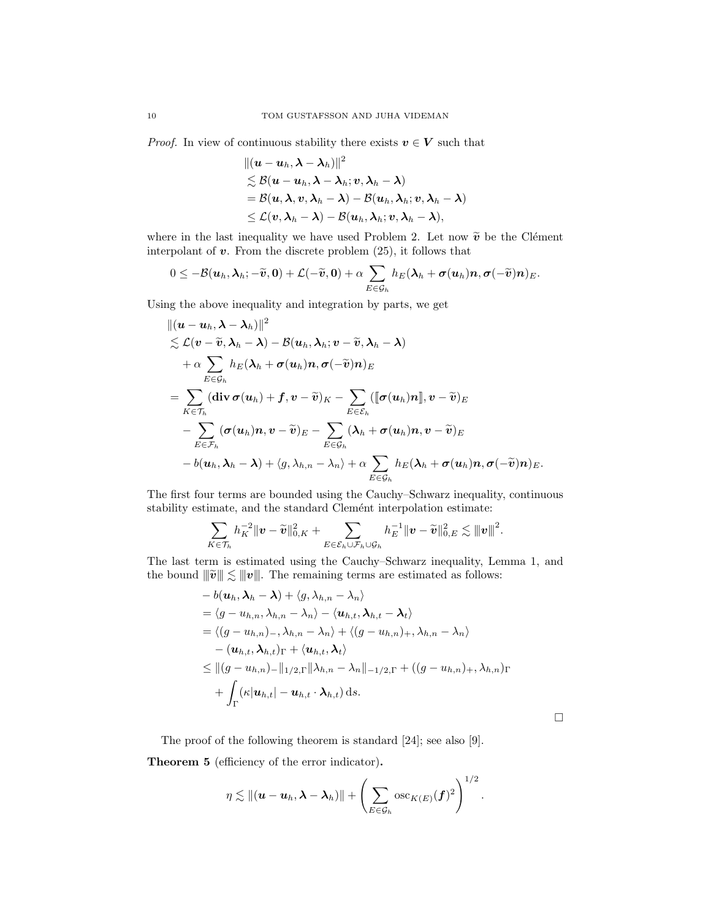*Proof.* In view of continuous stability there exists  $v \in V$  such that

$$
\begin{aligned}&\|({\boldsymbol u}-{\boldsymbol u}_h,{\boldsymbol\lambda}-\boldsymbol\lambda_h)\|^2\\&\lesssim \mathcal B({\boldsymbol u}-{\boldsymbol u}_h,{\boldsymbol\lambda}-\boldsymbol\lambda_h; {\boldsymbol v},{\boldsymbol\lambda}_h-{\boldsymbol\lambda})\\&=\mathcal B({\boldsymbol u},{\boldsymbol\lambda},{\boldsymbol v},{\boldsymbol\lambda}_h-{\boldsymbol\lambda})-\mathcal B({\boldsymbol u}_h,{\boldsymbol\lambda}_h; {\boldsymbol v},{\boldsymbol\lambda}_h-{\boldsymbol\lambda})\\&\leq \mathcal L({\boldsymbol v},{\boldsymbol\lambda}_h-{\boldsymbol\lambda})-\mathcal B({\boldsymbol u}_h,{\boldsymbol\lambda}_h; {\boldsymbol v},{\boldsymbol\lambda}_h-{\boldsymbol\lambda}),\end{aligned}
$$

where in the last inequality we have used Problem 2. Let now  $\tilde{\mathbf{v}}$  be the Clément interpolant of  $v$ . From the discrete problem  $(25)$ , it follows that

$$
0\leq -\mathcal{B}(\boldsymbol{u}_h,\boldsymbol{\lambda}_h;-\widetilde{\boldsymbol{v}},\boldsymbol{0})+\mathcal{L}(-\widetilde{\boldsymbol{v}},\boldsymbol{0})+\alpha\sum_{E\in\mathcal{G}_h}h_E(\boldsymbol{\lambda}_h+\boldsymbol{\sigma}(\boldsymbol{u}_h)\boldsymbol{n},\boldsymbol{\sigma}(-\widetilde{\boldsymbol{v}})\boldsymbol{n})_E.
$$

Using the above inequality and integration by parts, we get

$$
\begin{aligned} &\|( \boldsymbol{u}-\boldsymbol{u}_h, \boldsymbol{\lambda}-\boldsymbol{\lambda}_h)\|^2\\ &\lesssim \mathcal{L}(\boldsymbol{v}-\widetilde{\boldsymbol{v}}, \boldsymbol{\lambda}_h-\boldsymbol{\lambda})-\mathcal{B}(\boldsymbol{u}_h, \boldsymbol{\lambda}_h; \boldsymbol{v}-\widetilde{\boldsymbol{v}}, \boldsymbol{\lambda}_h-\boldsymbol{\lambda})\\ &+\alpha \sum_{E\in \mathcal{G}_h}h_E(\boldsymbol{\lambda}_h+\boldsymbol{\sigma}(\boldsymbol{u}_h)\boldsymbol{n}, \boldsymbol{\sigma}(-\widetilde{\boldsymbol{v}})\boldsymbol{n})_E\\ &=\sum_{K\in \mathcal{T}_h}(\text{div}\,\boldsymbol{\sigma}(\boldsymbol{u}_h)+\boldsymbol{f}, \boldsymbol{v}-\widetilde{\boldsymbol{v}})_K-\sum_{E\in \mathcal{E}_h}\left(\llbracket \boldsymbol{\sigma}(\boldsymbol{u}_h)\boldsymbol{n}\rrbracket, \boldsymbol{v}-\widetilde{\boldsymbol{v}}\right)_E\\ &-\sum_{E\in \mathcal{F}_h}(\boldsymbol{\sigma}(\boldsymbol{u}_h)\boldsymbol{n}, \boldsymbol{v}-\widetilde{\boldsymbol{v}})_E-\sum_{E\in \mathcal{G}_h}(\boldsymbol{\lambda}_h+\boldsymbol{\sigma}(\boldsymbol{u}_h)\boldsymbol{n}, \boldsymbol{v}-\widetilde{\boldsymbol{v}})_E\\ &-b(\boldsymbol{u}_h, \boldsymbol{\lambda}_h-\boldsymbol{\lambda})+\langle g, \lambda_{h,n}-\lambda_{n}\rangle+\alpha \sum_{E\in \mathcal{G}_h}h_E(\boldsymbol{\lambda}_h+\boldsymbol{\sigma}(\boldsymbol{u}_h)\boldsymbol{n}, \boldsymbol{\sigma}(-\widetilde{\boldsymbol{v}})\boldsymbol{n})_E.\end{aligned}
$$

The first four terms are bounded using the Cauchy–Schwarz inequality, continuous stability estimate, and the standard Clemént interpolation estimate:

$$
\sum_{K\in\mathcal{T}_h} h_K^{-2} \|\boldsymbol{v}-\widetilde{\boldsymbol{v}}\|^2_{0,K}+\sum_{E\in\mathcal{E}_h\cup\mathcal{F}_h\cup\mathcal{G}_h} h_E^{-1} \|\boldsymbol{v}-\widetilde{\boldsymbol{v}}\|^2_{0,E}\lesssim \|\boldsymbol{v}\|^2.
$$

The last term is estimated using the Cauchy–Schwarz inequality, Lemma 1, and the bound  $\|\tilde{v}\| \lesssim \|v\|$ . The remaining terms are estimated as follows:

$$
- b(\mathbf{u}_h, \lambda_h - \lambda) + \langle g, \lambda_{h,n} - \lambda_n \rangle
$$
  
=  $\langle g - u_{h,n}, \lambda_{h,n} - \lambda_n \rangle - \langle \mathbf{u}_{h,t}, \lambda_{h,t} - \lambda_t \rangle$   
=  $\langle (g - u_{h,n})_-, \lambda_{h,n} - \lambda_n \rangle + \langle (g - u_{h,n})_+, \lambda_{h,n} - \lambda_n \rangle$   
 $- (\mathbf{u}_{h,t}, \lambda_{h,t})_{\Gamma} + \langle \mathbf{u}_{h,t}, \lambda_t \rangle$   
 $\leq ||(g - u_{h,n})_-||_{1/2,\Gamma} ||\lambda_{h,n} - \lambda_n||_{-1/2,\Gamma} + ((g - u_{h,n})_+, \lambda_{h,n})_{\Gamma}$   
 $+ \int_{\Gamma} (\kappa |\mathbf{u}_{h,t}| - \mathbf{u}_{h,t} \cdot \lambda_{h,t}) ds.$ 

 $\Box$ 

The proof of the following theorem is standard [24]; see also [9].

Theorem 5 (efficiency of the error indicator).

$$
\eta \lesssim \|(\boldsymbol{u}-\boldsymbol{u}_h,\boldsymbol{\lambda}-\boldsymbol{\lambda}_h)\| + \left(\sum_{E\in\mathcal{G}_h} \mathrm{osc}_{K(E)}(\boldsymbol{f})^2\right)^{1/2}.
$$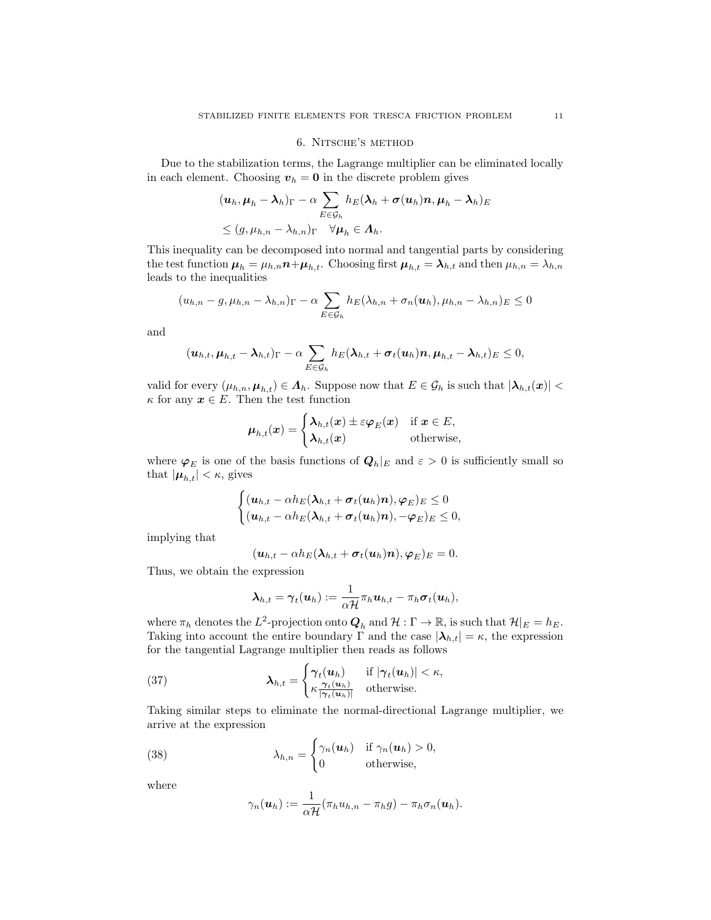### 6. Nitsche's method

Due to the stabilization terms, the Lagrange multiplier can be eliminated locally in each element. Choosing  $v_h = 0$  in the discrete problem gives

$$
\begin{aligned} & (\boldsymbol{u}_h, \boldsymbol{\mu}_h - \boldsymbol{\lambda}_h)_{\Gamma} - \alpha \sum_{E \in \mathcal{G}_h} h_E(\boldsymbol{\lambda}_h + \boldsymbol{\sigma}(\boldsymbol{u}_h) \boldsymbol{n}, \boldsymbol{\mu}_h - \boldsymbol{\lambda}_h)_E \\ & \leq (g, \mu_{h,n} - \lambda_{h,n})_{\Gamma} \quad \forall \boldsymbol{\mu}_h \in \boldsymbol{\Lambda}_h. \end{aligned}
$$

This inequality can be decomposed into normal and tangential parts by considering the test function  $\mu_h = \mu_{h,n} n + \mu_{h,t}$ . Choosing first  $\mu_{h,t} = \lambda_{h,t}$  and then  $\mu_{h,n} = \lambda_{h,n}$ leads to the inequalities

$$
(u_{h,n}-g,\mu_{h,n}-\lambda_{h,n})_{\Gamma}-\alpha\sum_{E\in\mathcal{G}_h}h_E(\lambda_{h,n}+\sigma_n(\boldsymbol{u}_h),\mu_{h,n}-\lambda_{h,n})_E\leq 0
$$

and

$$
(\boldsymbol{u}_{h,t}, \boldsymbol{\mu}_{h,t} - \boldsymbol{\lambda}_{h,t})_{\Gamma} - \alpha \sum_{E \in \mathcal{G}_h} h_E(\boldsymbol{\lambda}_{h,t} + \boldsymbol{\sigma}_t(\boldsymbol{u}_h) \boldsymbol{n}, \boldsymbol{\mu}_{h,t} - \boldsymbol{\lambda}_{h,t})_E \leq 0,
$$

valid for every  $(\mu_{h,n}, \mu_{h,t}) \in \Lambda_h$ . Suppose now that  $E \in \mathcal{G}_h$  is such that  $|\lambda_{h,t}(x)| <$  $\kappa$  for any  $x \in E$ . Then the test function

$$
\boldsymbol{\mu}_{h,t}(\boldsymbol{x}) = \begin{cases} \boldsymbol{\lambda}_{h,t}(\boldsymbol{x}) \pm \varepsilon \boldsymbol{\varphi}_E(\boldsymbol{x}) & \text{if } \boldsymbol{x} \in E, \\ \boldsymbol{\lambda}_{h,t}(\boldsymbol{x}) & \text{otherwise,} \end{cases}
$$

where  $\varphi_E$  is one of the basis functions of  $Q_h|_E$  and  $\varepsilon > 0$  is sufficiently small so that  $|\boldsymbol{\mu}_{h,t}| < \kappa$ , gives

$$
\begin{cases} (\boldsymbol{u}_{h,t} - \alpha h_E(\boldsymbol{\lambda}_{h,t} + \boldsymbol{\sigma}_t(\boldsymbol{u}_h)\boldsymbol{n}), \boldsymbol{\varphi}_E)_E \leq 0\\ (\boldsymbol{u}_{h,t} - \alpha h_E(\boldsymbol{\lambda}_{h,t} + \boldsymbol{\sigma}_t(\boldsymbol{u}_h)\boldsymbol{n}), -\boldsymbol{\varphi}_E)_E \leq 0, \end{cases}
$$

implying that

$$
(\boldsymbol{u}_{h,t}-\alpha h_E(\boldsymbol{\lambda}_{h,t}+\boldsymbol{\sigma}_t(\boldsymbol{u}_h)\boldsymbol{n}),\boldsymbol{\varphi}_E)_E=0.
$$

Thus, we obtain the expression

$$
\boldsymbol{\lambda}_{h,t} = \boldsymbol{\gamma}_t(\boldsymbol{u}_h) := \frac{1}{\alpha \mathcal{H}} \pi_h \boldsymbol{u}_{h,t} - \pi_h \boldsymbol{\sigma}_t(\boldsymbol{u}_h),
$$

where  $\pi_h$  denotes the  $L^2$ -projection onto  $\mathbf{Q}_h$  and  $\mathcal{H}: \Gamma \to \mathbb{R}$ , is such that  $\mathcal{H}|_E = h_E$ . Taking into account the entire boundary  $\Gamma$  and the case  $|\lambda_{h,t}| = \kappa$ , the expression for the tangential Lagrange multiplier then reads as follows

(37) 
$$
\lambda_{h,t} = \begin{cases} \gamma_t(\boldsymbol{u}_h) & \text{if } |\gamma_t(\boldsymbol{u}_h)| < \kappa, \\ \kappa \frac{\gamma_t(\boldsymbol{u}_h)}{|\gamma_t(\boldsymbol{u}_h)|} & \text{otherwise.} \end{cases}
$$

Taking similar steps to eliminate the normal-directional Lagrange multiplier, we arrive at the expression

(38) 
$$
\lambda_{h,n} = \begin{cases} \gamma_n(\boldsymbol{u}_h) & \text{if } \gamma_n(\boldsymbol{u}_h) > 0, \\ 0 & \text{otherwise,} \end{cases}
$$

where

$$
\gamma_n(\boldsymbol{u}_h) := \frac{1}{\alpha \mathcal{H}} (\pi_h u_{h,n} - \pi_h g) - \pi_h \sigma_n(\boldsymbol{u}_h).
$$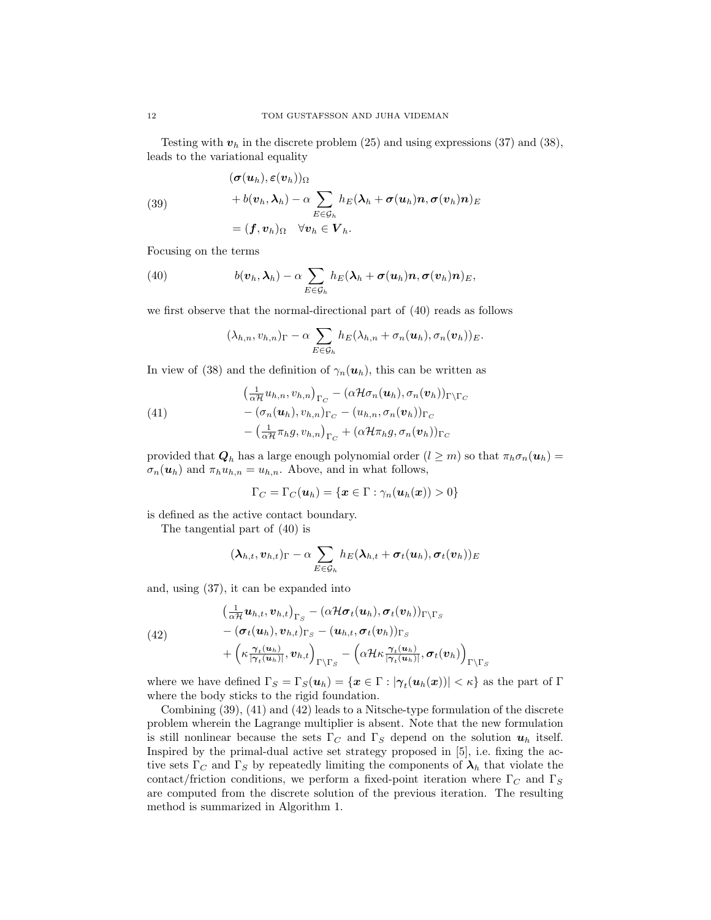Testing with  $v_h$  in the discrete problem (25) and using expressions (37) and (38), leads to the variational equality

(39)  
\n
$$
(\boldsymbol{\sigma}(\boldsymbol{u}_h), \boldsymbol{\varepsilon}(\boldsymbol{v}_h))_{\Omega} + b(\boldsymbol{v}_h, \boldsymbol{\lambda}_h) - \alpha \sum_{E \in \mathcal{G}_h} h_E(\boldsymbol{\lambda}_h + \boldsymbol{\sigma}(\boldsymbol{u}_h) \boldsymbol{n}, \boldsymbol{\sigma}(\boldsymbol{v}_h) \boldsymbol{n})_E
$$
\n
$$
= (\boldsymbol{f}, \boldsymbol{v}_h)_{\Omega} \quad \forall \boldsymbol{v}_h \in \boldsymbol{V}_h.
$$

Focusing on the terms

(40) 
$$
b(\boldsymbol{v}_h, \boldsymbol{\lambda}_h) - \alpha \sum_{E \in \mathcal{G}_h} h_E(\boldsymbol{\lambda}_h + \boldsymbol{\sigma}(\boldsymbol{u}_h) \boldsymbol{n}, \boldsymbol{\sigma}(\boldsymbol{v}_h) \boldsymbol{n})_E,
$$

we first observe that the normal-directional part of (40) reads as follows

$$
(\lambda_{h,n},v_{h,n})_{\Gamma}-\alpha\sum_{E\in\mathcal{G}_h}h_E(\lambda_{h,n}+\sigma_n(\boldsymbol{u}_h),\sigma_n(\boldsymbol{v}_h))_E.
$$

In view of (38) and the definition of  $\gamma_n(\mathbf{u}_h)$ , this can be written as

(41)  
\n
$$
\left(\frac{1}{\alpha \mathcal{H}} u_{h,n}, v_{h,n}\right)_{\Gamma_C} - \left(\alpha \mathcal{H} \sigma_n(\boldsymbol{u}_h), \sigma_n(\boldsymbol{v}_h)\right)_{\Gamma \backslash \Gamma_C} \n- \left(\sigma_n(\boldsymbol{u}_h), v_{h,n}\right)_{\Gamma_C} - \left(u_{h,n}, \sigma_n(\boldsymbol{v}_h)\right)_{\Gamma_C} \n- \left(\frac{1}{\alpha \mathcal{H}} \pi_h g, v_{h,n}\right)_{\Gamma_C} + \left(\alpha \mathcal{H} \pi_h g, \sigma_n(\boldsymbol{v}_h)\right)_{\Gamma_C}
$$

provided that  $\mathbf{Q}_h$  has a large enough polynomial order  $(l \geq m)$  so that  $\pi_h \sigma_n(\mathbf{u}_h)$  $\sigma_n(\boldsymbol{u}_h)$  and  $\pi_h u_{h,n} = u_{h,n}$ . Above, and in what follows,

$$
\Gamma_C = \Gamma_C(\boldsymbol{u}_h) = \{\boldsymbol{x}\in \Gamma: \gamma_n(\boldsymbol{u}_h(\boldsymbol{x})) > 0\}
$$

is defined as the active contact boundary.

The tangential part of (40) is

$$
(\boldsymbol{\lambda}_{h,t}, \boldsymbol{v}_{h,t})_\Gamma - \alpha \sum_{E \in \mathcal{G}_h} h_E(\boldsymbol{\lambda}_{h,t} + \boldsymbol{\sigma}_t(\boldsymbol{u}_h), \boldsymbol{\sigma}_t(\boldsymbol{v}_h))_E
$$

and, using (37), it can be expanded into

(42)  
\n
$$
\left(\frac{1}{\alpha \mathcal{H}} \boldsymbol{u}_{h,t}, \boldsymbol{v}_{h,t}\right)_{\Gamma_S} - \left(\alpha \mathcal{H} \boldsymbol{\sigma}_t(\boldsymbol{u}_h), \boldsymbol{\sigma}_t(\boldsymbol{v}_h)\right)_{\Gamma \backslash \Gamma_S} \n- \left(\boldsymbol{\sigma}_t(\boldsymbol{u}_h), \boldsymbol{v}_{h,t}\right)_{\Gamma_S} - \left(\boldsymbol{u}_{h,t}, \boldsymbol{\sigma}_t(\boldsymbol{v}_h)\right)_{\Gamma_S} \n+ \left(\kappa \frac{\gamma_t(\boldsymbol{u}_h)}{|\gamma_t(\boldsymbol{u}_h)|}, \boldsymbol{v}_{h,t}\right)_{\Gamma \backslash \Gamma_S} - \left(\alpha \mathcal{H} \kappa \frac{\gamma_t(\boldsymbol{u}_h)}{|\gamma_t(\boldsymbol{u}_h)|}, \boldsymbol{\sigma}_t(\boldsymbol{v}_h)\right)_{\Gamma \backslash \Gamma_S}
$$

where we have defined  $\Gamma_S = \Gamma_S(u_h) = \{x \in \Gamma : |\gamma_t(u_h(x))| < \kappa\}$  as the part of  $\Gamma$ where the body sticks to the rigid foundation.

Combining (39), (41) and (42) leads to a Nitsche-type formulation of the discrete problem wherein the Lagrange multiplier is absent. Note that the new formulation is still nonlinear because the sets  $\Gamma_C$  and  $\Gamma_S$  depend on the solution  $u_h$  itself. Inspired by the primal-dual active set strategy proposed in [5], i.e. fixing the active sets  $\Gamma_C$  and  $\Gamma_S$  by repeatedly limiting the components of  $\lambda_h$  that violate the contact/friction conditions, we perform a fixed-point iteration where  $\Gamma_C$  and  $\Gamma_S$ are computed from the discrete solution of the previous iteration. The resulting method is summarized in Algorithm 1.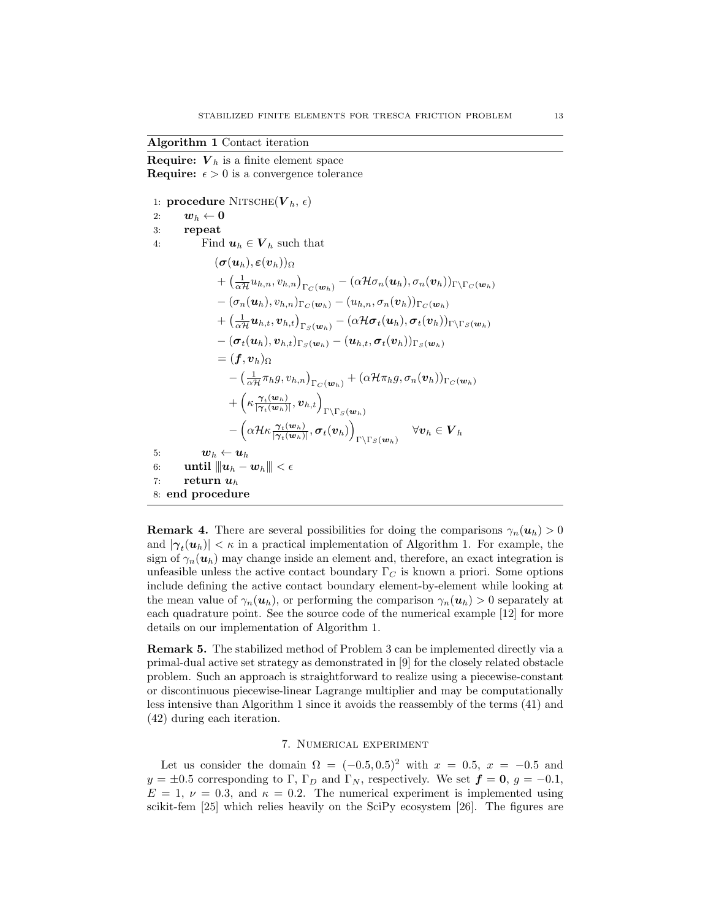## Algorithm 1 Contact iteration

**Require:**  $V_h$  is a finite element space **Require:**  $\epsilon > 0$  is a convergence tolerance

1: **procedure** NITSCHE $(\boldsymbol{V}_h, \epsilon)$ 2:  $w_h \leftarrow 0$ 3: repeat 4: Find  $u_h \in V_h$  such that  $({\boldsymbol{\sigma}}({\boldsymbol{u}}_h), {\boldsymbol{\varepsilon}}({\boldsymbol{v}}_h))_{\Omega}$  $+\left(\frac{1}{\alpha \mathcal{H}}u_{h,n},v_{h,n}\right)_{\Gamma_C(\boldsymbol{w}_h)}-\left(\alpha \mathcal{H}\sigma_n(\boldsymbol{u}_h),\sigma_n(\boldsymbol{v}_h)\right)_{\Gamma\backslash \Gamma_C(\boldsymbol{w}_h)}$  $-(\sigma_n(\boldsymbol{u}_h), v_{h,n})_{\Gamma_{\mathcal{C}}(\boldsymbol{w}_h)} - (u_{h,n}, \sigma_n(\boldsymbol{v}_h))_{\Gamma_{\mathcal{C}}(\boldsymbol{w}_h)}$  $+\left(\frac{1}{\alpha \mathcal{H}}\bm{u}_{h,t},\bm{v}_{h,t}\right)_{\Gamma_{S}(\bm{w}_h)} - (\alpha \mathcal{H} \bm{\sigma}_{t}(\bm{u}_h),\bm{\sigma}_{t}(\bm{v}_h))_{\Gamma\backslash\Gamma_{S}(\bm{w}_h)}$  $-(\boldsymbol{\sigma}_t(\boldsymbol{u}_h),\boldsymbol{v}_{h,t})_{\Gamma_{\mathcal{S}}(\boldsymbol{w}_h)}-(\boldsymbol{u}_{h,t},\boldsymbol{\sigma}_t(\boldsymbol{v}_h))_{\Gamma_{\mathcal{S}}(\boldsymbol{w}_h)}$  $=$   $(f, v_h)_{\Omega}$  $-\left(\frac{1}{\alpha\mathcal{H}}\pi_h g,v_{h,n}\right)_{\Gamma_C(\boldsymbol w_h)}+\left(\alpha\mathcal{H}\pi_h g,\sigma_n(\boldsymbol v_h)\right)_{\Gamma_C(\boldsymbol w_h)}$  $+\left(\kappa \frac{\gamma_t(w_h)}{|\gamma|(w_t)}\right)$  $\frac{\boldsymbol{\gamma}_t(\boldsymbol{w}_h)}{|\boldsymbol{\gamma}_t(\boldsymbol{w}_h)|},\boldsymbol{v}_{h,t}\Big)_{\Gamma \backslash \Gamma_S(\boldsymbol{w}_h)}$  $-\left(\alpha \mathcal{H}\kappa \frac{\gamma_t(w_h)}{|\alpha|(w_h)}\right)$  $\frac{\boldsymbol{\gamma}_t(\boldsymbol{w}_h)}{|\boldsymbol{\gamma}_t(\boldsymbol{w}_h)|}, \boldsymbol{\sigma}_t(\boldsymbol{v}_h)\Big)$  $\Gamma\backslash\Gamma_S(\boldsymbol w_h) \quad \forall \boldsymbol v_h\in \boldsymbol V_h$ 5:  $\boldsymbol{w}_h \leftarrow \boldsymbol{u}_h$ 6: until  $||u_h - w_h|| < \epsilon$ 7: return  $u_h$ 8: end procedure

**Remark 4.** There are several possibilities for doing the comparisons  $\gamma_n(\mathbf{u}_h) > 0$ and  $|\gamma_t(u_h)| < \kappa$  in a practical implementation of Algorithm 1. For example, the sign of  $\gamma_n(\mathbf{u}_h)$  may change inside an element and, therefore, an exact integration is unfeasible unless the active contact boundary  $\Gamma_C$  is known a priori. Some options include defining the active contact boundary element-by-element while looking at the mean value of  $\gamma_n(\mathbf{u}_h)$ , or performing the comparison  $\gamma_n(\mathbf{u}_h) > 0$  separately at each quadrature point. See the source code of the numerical example [12] for more details on our implementation of Algorithm 1.

Remark 5. The stabilized method of Problem 3 can be implemented directly via a primal-dual active set strategy as demonstrated in [9] for the closely related obstacle problem. Such an approach is straightforward to realize using a piecewise-constant or discontinuous piecewise-linear Lagrange multiplier and may be computationally less intensive than Algorithm 1 since it avoids the reassembly of the terms (41) and (42) during each iteration.

### 7. Numerical experiment

Let us consider the domain  $\Omega = (-0.5, 0.5)^2$  with  $x = 0.5$ ,  $x = -0.5$  and  $y = \pm 0.5$  corresponding to Γ, Γ<sub>D</sub> and Γ<sub>N</sub>, respectively. We set  $\boldsymbol{f} = \boldsymbol{0}, g = -0.1$ ,  $E = 1, \nu = 0.3$ , and  $\kappa = 0.2$ . The numerical experiment is implemented using scikit-fem [25] which relies heavily on the SciPy ecosystem [26]. The figures are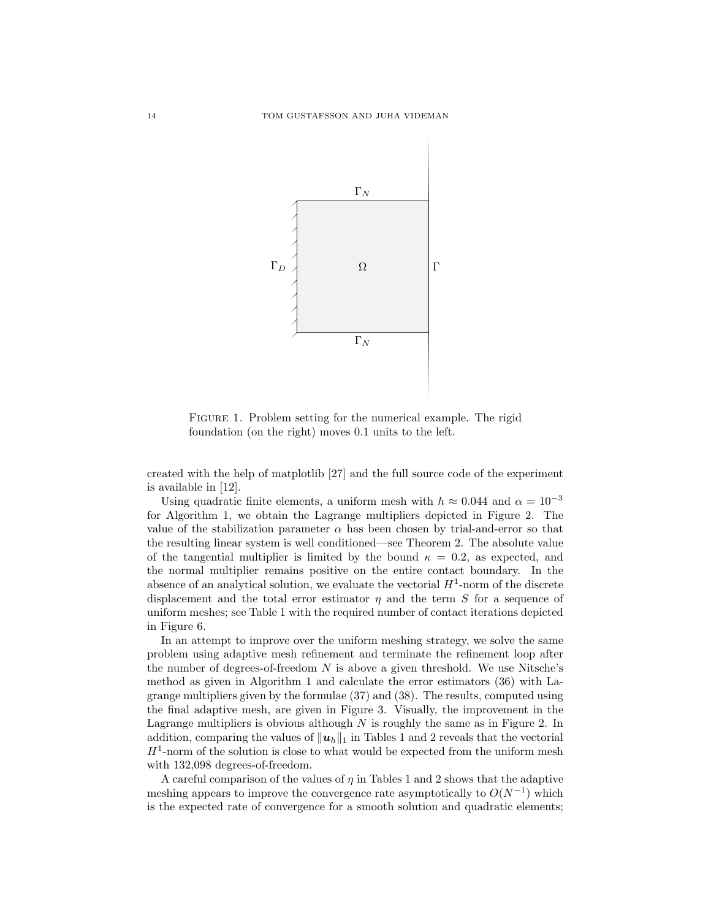

FIGURE 1. Problem setting for the numerical example. The rigid foundation (on the right) moves 0.1 units to the left.

created with the help of matplotlib [27] and the full source code of the experiment is available in [12].

Using quadratic finite elements, a uniform mesh with  $h \approx 0.044$  and  $\alpha = 10^{-3}$ for Algorithm 1, we obtain the Lagrange multipliers depicted in Figure 2. The value of the stabilization parameter  $\alpha$  has been chosen by trial-and-error so that the resulting linear system is well conditioned—see Theorem 2. The absolute value of the tangential multiplier is limited by the bound  $\kappa = 0.2$ , as expected, and the normal multiplier remains positive on the entire contact boundary. In the absence of an analytical solution, we evaluate the vectorial  $H^1$ -norm of the discrete displacement and the total error estimator  $\eta$  and the term S for a sequence of uniform meshes; see Table 1 with the required number of contact iterations depicted in Figure 6.

In an attempt to improve over the uniform meshing strategy, we solve the same problem using adaptive mesh refinement and terminate the refinement loop after the number of degrees-of-freedom  $N$  is above a given threshold. We use Nitsche's method as given in Algorithm 1 and calculate the error estimators (36) with Lagrange multipliers given by the formulae (37) and (38). The results, computed using the final adaptive mesh, are given in Figure 3. Visually, the improvement in the Lagrange multipliers is obvious although  $N$  is roughly the same as in Figure 2. In addition, comparing the values of  $||u_h||_1$  in Tables 1 and 2 reveals that the vectorial  $H^1$ -norm of the solution is close to what would be expected from the uniform mesh with 132,098 degrees-of-freedom.

A careful comparison of the values of  $\eta$  in Tables 1 and 2 shows that the adaptive meshing appears to improve the convergence rate asymptotically to  $O(N^{-1})$  which is the expected rate of convergence for a smooth solution and quadratic elements;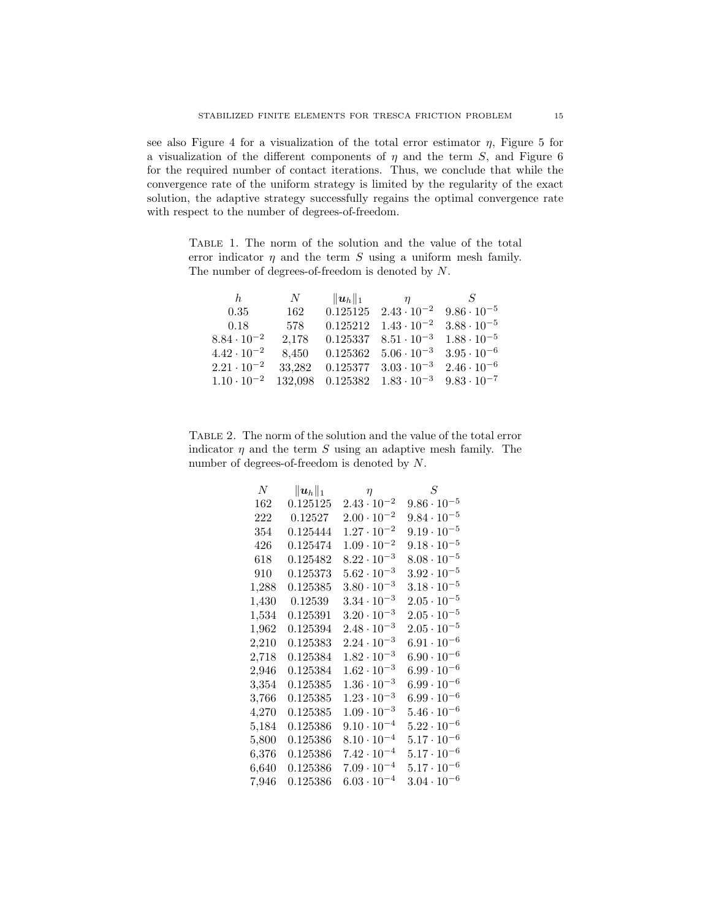see also Figure 4 for a visualization of the total error estimator  $\eta$ , Figure 5 for a visualization of the different components of  $\eta$  and the term S, and Figure 6 for the required number of contact iterations. Thus, we conclude that while the convergence rate of the uniform strategy is limited by the regularity of the exact solution, the adaptive strategy successfully regains the optimal convergence rate with respect to the number of degrees-of-freedom.

Table 1. The norm of the solution and the value of the total error indicator  $\eta$  and the term S using a uniform mesh family. The number of degrees-of-freedom is denoted by N.

| $N_{-}$ | $\eta$                   | S                                                                                                                                                                                                                                            |
|---------|--------------------------|----------------------------------------------------------------------------------------------------------------------------------------------------------------------------------------------------------------------------------------------|
| 162     |                          | $9.86 \cdot 10^{-5}$                                                                                                                                                                                                                         |
| 578     |                          | $3.88 \cdot 10^{-5}$                                                                                                                                                                                                                         |
| 2,178   |                          | $1.88 \cdot 10^{-5}$                                                                                                                                                                                                                         |
| 8.450   |                          | $3.95 \cdot 10^{-6}$                                                                                                                                                                                                                         |
| 33.282  |                          | $2.46 \cdot 10^{-6}$                                                                                                                                                                                                                         |
|         |                          | $9.83 \cdot 10^{-7}$                                                                                                                                                                                                                         |
|         | $\ \boldsymbol{u}_h\ _1$ | $0.125125 \quad 2.43 \cdot 10^{-2}$<br>$0.125212 \quad 1.43 \cdot 10^{-2}$<br>$0.125337 \quad 8.51 \cdot 10^{-3}$<br>$0.125362 \quad 5.06 \cdot 10^{-3}$<br>$0.125377 \quad 3.03 \cdot 10^{-3}$<br>$132,098$ $0.125382$ $1.83 \cdot 10^{-3}$ |

Table 2. The norm of the solution and the value of the total error indicator  $\eta$  and the term S using an adaptive mesh family. The number of degrees-of-freedom is denoted by N.

| N           | $\ \boldsymbol{u}_h\ _1$ | $\eta$               | S                    |
|-------------|--------------------------|----------------------|----------------------|
| 162         | 0.125125                 | $2.43 \cdot 10^{-2}$ | $9.86 \cdot 10^{-5}$ |
| 222         | 0.12527                  | $2.00 \cdot 10^{-2}$ | $9.84 \cdot 10^{-5}$ |
| 354         | 0.125444                 | $1.27 \cdot 10^{-2}$ | $9.19 \cdot 10^{-5}$ |
| 426         | 0.125474                 | $1.09 \cdot 10^{-2}$ | $9.18 \cdot 10^{-5}$ |
| 618         | 0.125482                 | $8.22 \cdot 10^{-3}$ | $8.08 \cdot 10^{-5}$ |
| 910         | 0.125373                 | $5.62 \cdot 10^{-3}$ | $3.92 \cdot 10^{-5}$ |
| 1,288       | 0.125385                 | $3.80 \cdot 10^{-3}$ | $3.18 \cdot 10^{-5}$ |
| 1,430       | 0.12539                  | $3.34 \cdot 10^{-3}$ | $2.05 \cdot 10^{-5}$ |
| 1,534       | 0.125391                 | $3.20 \cdot 10^{-3}$ | $2.05 \cdot 10^{-5}$ |
| 1,962       | 0.125394                 | $2.48 \cdot 10^{-3}$ | $2.05 \cdot 10^{-5}$ |
| 2,210       | 0.125383                 | $2.24 \cdot 10^{-3}$ | $6.91 \cdot 10^{-6}$ |
| 2,718       | 0.125384                 | $1.82 \cdot 10^{-3}$ | $6.90 \cdot 10^{-6}$ |
| $2{,}946$   | 0.125384                 | $1.62 \cdot 10^{-3}$ | $6.99 \cdot 10^{-6}$ |
| 3,354       | 0.125385                 | $1.36 \cdot 10^{-3}$ | $6.99 \cdot 10^{-6}$ |
| $3{,}766$   | 0.125385                 | $1.23 \cdot 10^{-3}$ | $6.99 \cdot 10^{-6}$ |
| ${4,\!270}$ | 0.125385                 | $1.09 \cdot 10^{-3}$ | $5.46 \cdot 10^{-6}$ |
| 5,184       | 0.125386                 | $9.10 \cdot 10^{-4}$ | $5.22 \cdot 10^{-6}$ |
| 5,800       | 0.125386                 | $8.10 \cdot 10^{-4}$ | $5.17 \cdot 10^{-6}$ |
| 6,376       | 0.125386                 | $7.42 \cdot 10^{-4}$ | $5.17 \cdot 10^{-6}$ |
| 6,640       | 0.125386                 | $7.09 \cdot 10^{-4}$ | $5.17 \cdot 10^{-6}$ |
| 7,946       | 0.125386                 | $6.03 \cdot 10^{-4}$ | $3.04 \cdot 10^{-6}$ |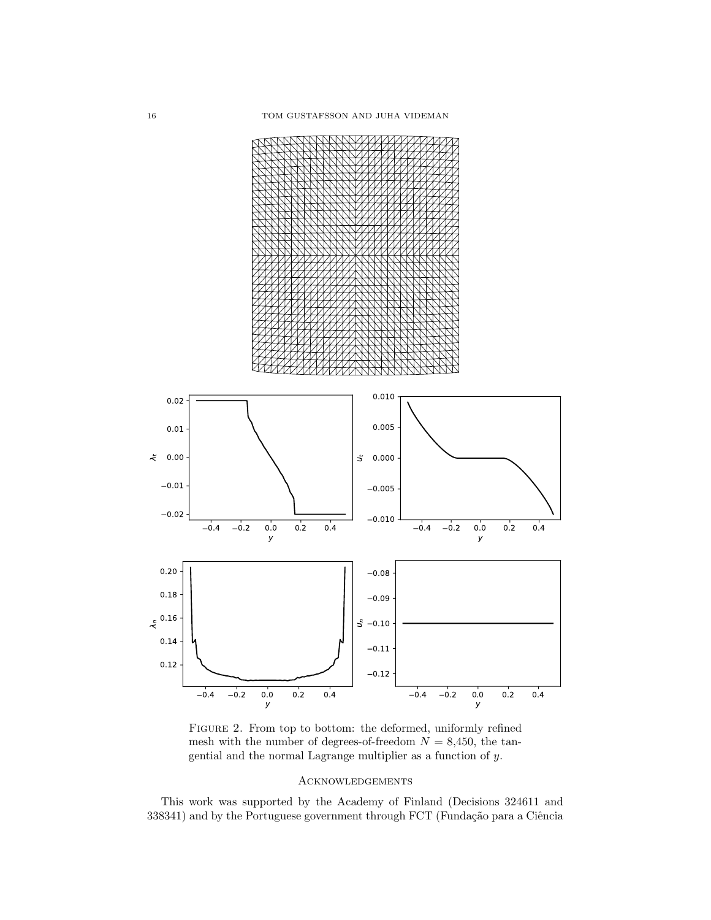

Figure 2. From top to bottom: the deformed, uniformly refined mesh with the number of degrees-of-freedom  $N = 8,450$ , the tangential and the normal Lagrange multiplier as a function of y.

## **ACKNOWLEDGEMENTS**

This work was supported by the Academy of Finland (Decisions 324611 and  $338341$ ) and by the Portuguese government through FCT (Fundação para a Ciência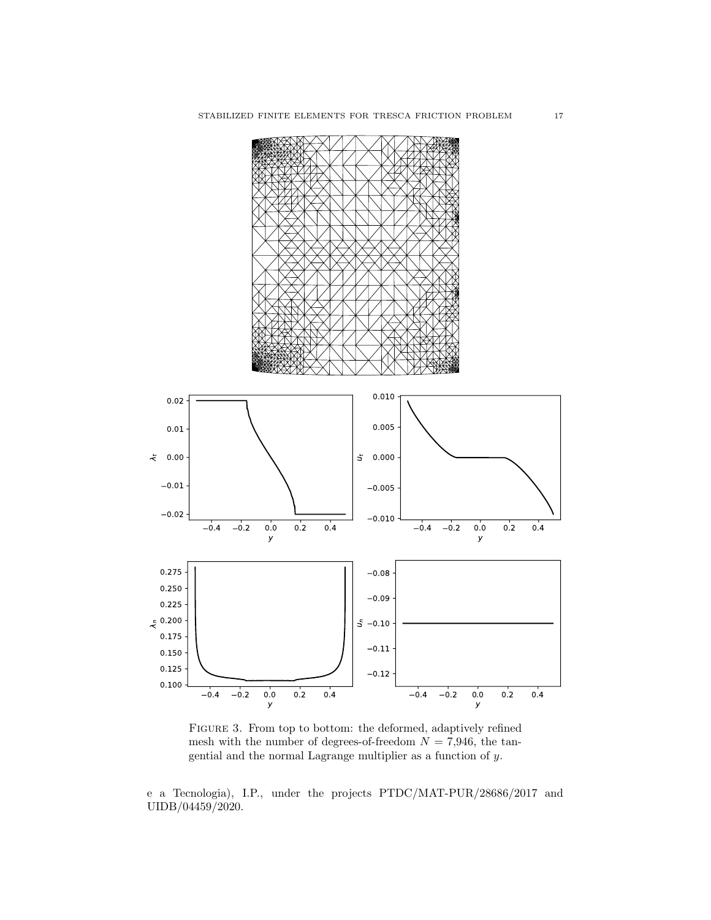

Figure 3. From top to bottom: the deformed, adaptively refined mesh with the number of degrees-of-freedom  $N = 7,946$ , the tangential and the normal Lagrange multiplier as a function of y.

e a Tecnologia), I.P., under the projects PTDC/MAT-PUR/28686/2017 and UIDB/04459/2020.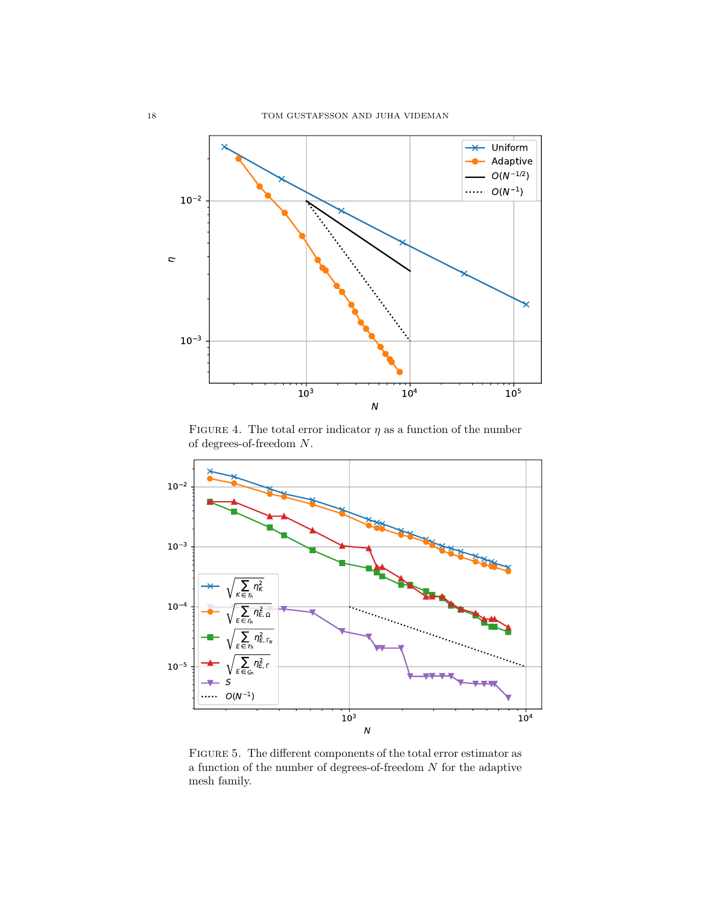

FIGURE 4. The total error indicator  $\eta$  as a function of the number of degrees-of-freedom N.



Figure 5. The different components of the total error estimator as a function of the number of degrees-of-freedom  $N$  for the adaptive mesh family.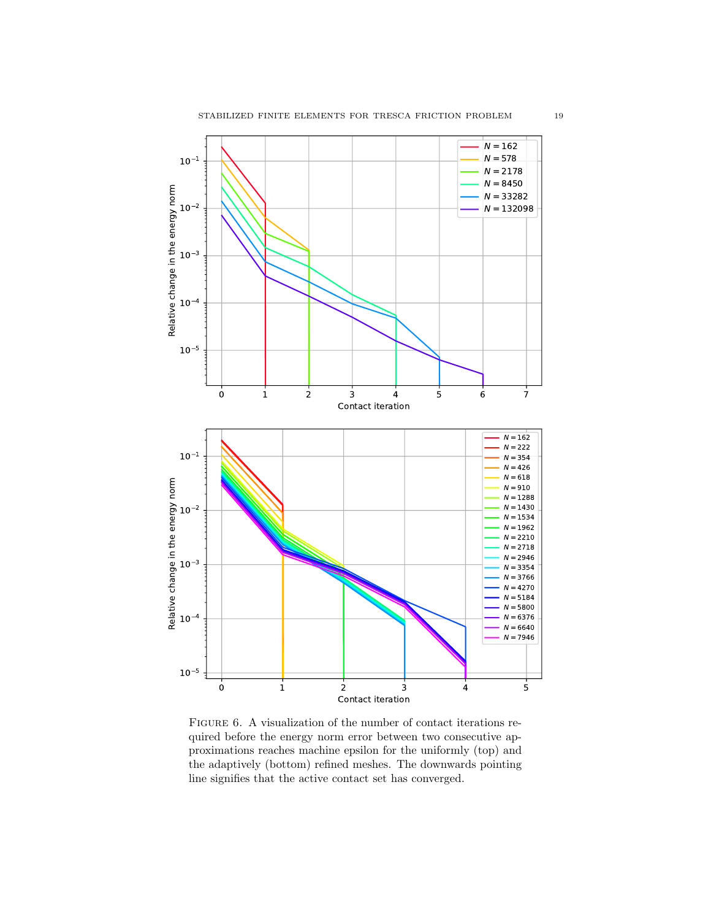

FIGURE 6. A visualization of the number of contact iterations required before the energy norm error between two consecutive approximations reaches machine epsilon for the uniformly (top) and the adaptively (bottom) refined meshes. The downwards pointing line signifies that the active contact set has converged.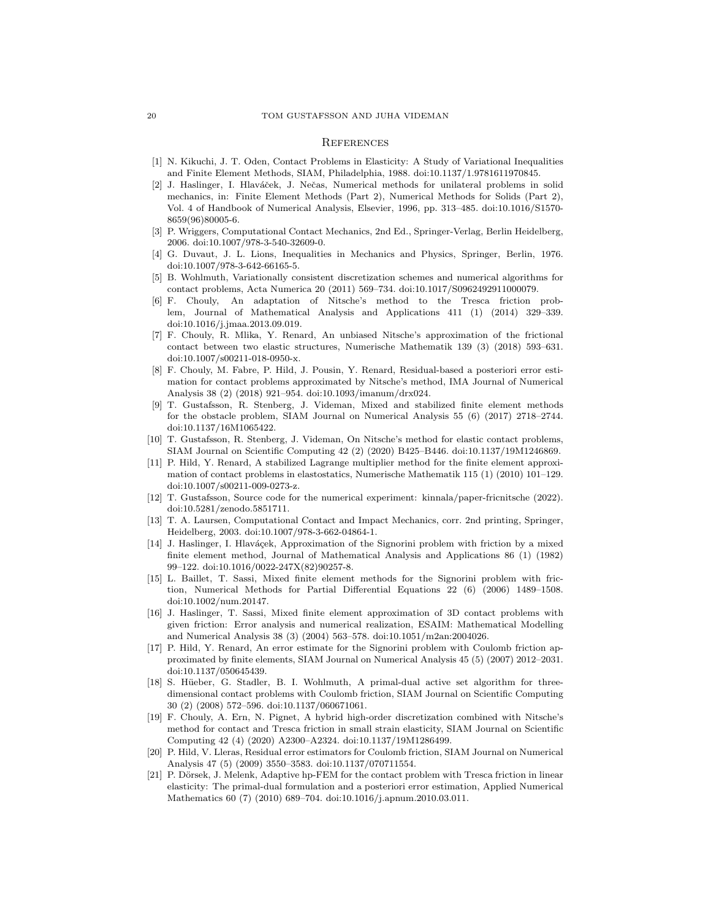#### **REFERENCES**

- [1] N. Kikuchi, J. T. Oden, Contact Problems in Elasticity: A Study of Variational Inequalities and Finite Element Methods, SIAM, Philadelphia, 1988. doi:10.1137/1.9781611970845.
- [2] J. Haslinger, I. Hlaváček, J. Nečas, Numerical methods for unilateral problems in solid mechanics, in: Finite Element Methods (Part 2), Numerical Methods for Solids (Part 2), Vol. 4 of Handbook of Numerical Analysis, Elsevier, 1996, pp. 313–485. doi:10.1016/S1570- 8659(96)80005-6.
- [3] P. Wriggers, Computational Contact Mechanics, 2nd Ed., Springer-Verlag, Berlin Heidelberg, 2006. doi:10.1007/978-3-540-32609-0.
- [4] G. Duvaut, J. L. Lions, Inequalities in Mechanics and Physics, Springer, Berlin, 1976. doi:10.1007/978-3-642-66165-5.
- [5] B. Wohlmuth, Variationally consistent discretization schemes and numerical algorithms for contact problems, Acta Numerica 20 (2011) 569–734. doi:10.1017/S0962492911000079.
- [6] F. Chouly, An adaptation of Nitsche's method to the Tresca friction problem, Journal of Mathematical Analysis and Applications 411 (1) (2014) 329–339. doi:10.1016/j.jmaa.2013.09.019.
- [7] F. Chouly, R. Mlika, Y. Renard, An unbiased Nitsche's approximation of the frictional contact between two elastic structures, Numerische Mathematik 139 (3) (2018) 593–631. doi:10.1007/s00211-018-0950-x.
- [8] F. Chouly, M. Fabre, P. Hild, J. Pousin, Y. Renard, Residual-based a posteriori error estimation for contact problems approximated by Nitsche's method, IMA Journal of Numerical Analysis 38 (2) (2018) 921–954. doi:10.1093/imanum/drx024.
- [9] T. Gustafsson, R. Stenberg, J. Videman, Mixed and stabilized finite element methods for the obstacle problem, SIAM Journal on Numerical Analysis 55 (6) (2017) 2718–2744. doi:10.1137/16M1065422.
- [10] T. Gustafsson, R. Stenberg, J. Videman, On Nitsche's method for elastic contact problems, SIAM Journal on Scientific Computing 42 (2) (2020) B425–B446. doi:10.1137/19M1246869.
- [11] P. Hild, Y. Renard, A stabilized Lagrange multiplier method for the finite element approximation of contact problems in elastostatics, Numerische Mathematik 115 (1) (2010) 101–129. doi:10.1007/s00211-009-0273-z.
- [12] T. Gustafsson, Source code for the numerical experiment: kinnala/paper-fricnitsche (2022). doi:10.5281/zenodo.5851711.
- [13] T. A. Laursen, Computational Contact and Impact Mechanics, corr. 2nd printing, Springer, Heidelberg, 2003. doi:10.1007/978-3-662-04864-1.
- [14] J. Haslinger, I. Hlaváçek, Approximation of the Signorini problem with friction by a mixed finite element method, Journal of Mathematical Analysis and Applications 86 (1) (1982) 99–122. doi:10.1016/0022-247X(82)90257-8.
- [15] L. Baillet, T. Sassi, Mixed finite element methods for the Signorini problem with friction, Numerical Methods for Partial Differential Equations 22 (6) (2006) 1489–1508. doi:10.1002/num.20147.
- [16] J. Haslinger, T. Sassi, Mixed finite element approximation of 3D contact problems with given friction: Error analysis and numerical realization, ESAIM: Mathematical Modelling and Numerical Analysis 38 (3) (2004) 563–578. doi:10.1051/m2an:2004026.
- [17] P. Hild, Y. Renard, An error estimate for the Signorini problem with Coulomb friction approximated by finite elements, SIAM Journal on Numerical Analysis 45 (5) (2007) 2012–2031. doi:10.1137/050645439.
- [18] S. Hüeber, G. Stadler, B. I. Wohlmuth, A primal-dual active set algorithm for threedimensional contact problems with Coulomb friction, SIAM Journal on Scientific Computing 30 (2) (2008) 572–596. doi:10.1137/060671061.
- [19] F. Chouly, A. Ern, N. Pignet, A hybrid high-order discretization combined with Nitsche's method for contact and Tresca friction in small strain elasticity, SIAM Journal on Scientific Computing 42 (4) (2020) A2300–A2324. doi:10.1137/19M1286499.
- [20] P. Hild, V. Lleras, Residual error estimators for Coulomb friction, SIAM Journal on Numerical Analysis 47 (5) (2009) 3550–3583. doi:10.1137/070711554.
- [21] P. Dörsek, J. Melenk, Adaptive hp-FEM for the contact problem with Tresca friction in linear elasticity: The primal-dual formulation and a posteriori error estimation, Applied Numerical Mathematics 60 (7) (2010) 689–704. doi:10.1016/j.apnum.2010.03.011.